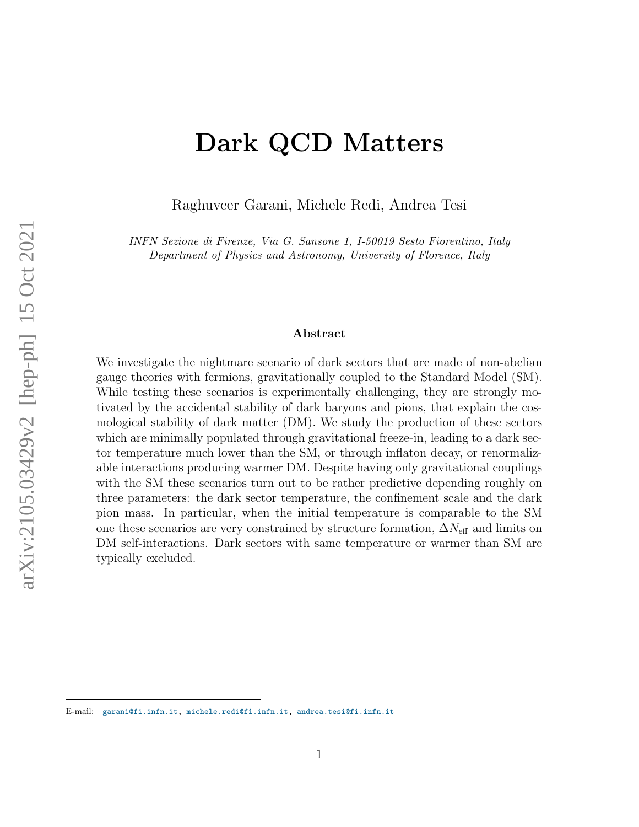# Dark QCD Matters

Raghuveer Garani, Michele Redi, Andrea Tesi

INFN Sezione di Firenze, Via G. Sansone 1, I-50019 Sesto Fiorentino, Italy Department of Physics and Astronomy, University of Florence, Italy

### Abstract

We investigate the nightmare scenario of dark sectors that are made of non-abelian gauge theories with fermions, gravitationally coupled to the Standard Model (SM). While testing these scenarios is experimentally challenging, they are strongly motivated by the accidental stability of dark baryons and pions, that explain the cosmological stability of dark matter (DM). We study the production of these sectors which are minimally populated through gravitational freeze-in, leading to a dark sector temperature much lower than the SM, or through inflaton decay, or renormalizable interactions producing warmer DM. Despite having only gravitational couplings with the SM these scenarios turn out to be rather predictive depending roughly on three parameters: the dark sector temperature, the confinement scale and the dark pion mass. In particular, when the initial temperature is comparable to the SM one these scenarios are very constrained by structure formation,  $\Delta N_{\text{eff}}$  and limits on DM self-interactions. Dark sectors with same temperature or warmer than SM are typically excluded.

E-mail: [garani@fi.infn.it,](garani@fi.infn.it) [michele.redi@fi.infn.it,](mailto:michele.redi@fi.infn.it) <andrea.tesi@fi.infn.it>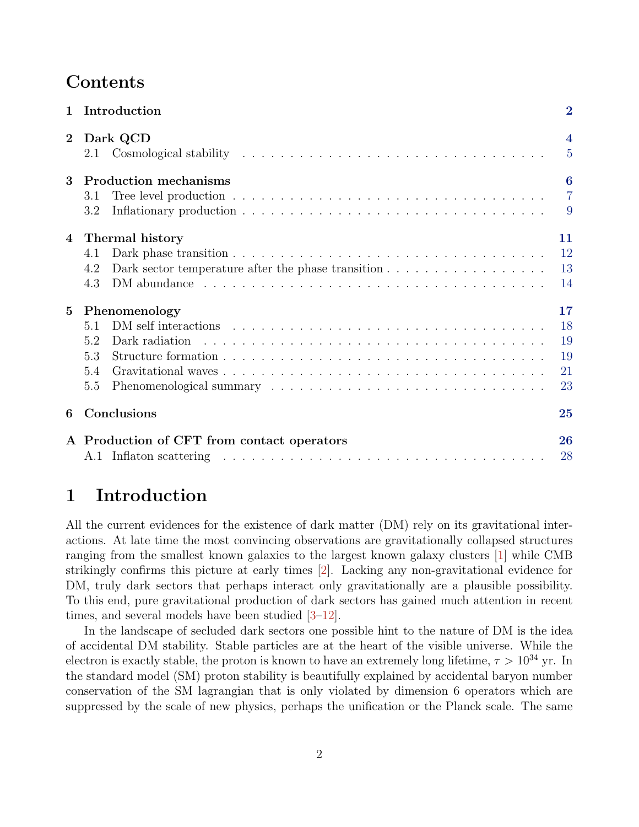# Contents

| $\mathbf{1}$   | Introduction                                                                                                                    | $\overline{2}$                            |
|----------------|---------------------------------------------------------------------------------------------------------------------------------|-------------------------------------------|
| $\overline{2}$ | Dark QCD                                                                                                                        | $\overline{\mathbf{4}}$<br>$\overline{5}$ |
| 3              | <b>Production mechanisms</b><br>3.1<br>3.2                                                                                      | $\bf{6}$<br>$\overline{7}$<br>9           |
| 4              | Thermal history<br>4.1<br>Dark sector temperature after the phase transition $\ldots \ldots \ldots \ldots \ldots$<br>4.2<br>4.3 | 11<br>12<br>13<br>14                      |
| $\overline{5}$ | Phenomenology<br>5.1<br>5.2<br>Dark radiation<br>5.3<br>5.4<br>5.5                                                              | 17<br>18<br>19<br>19<br>21<br>23          |
| 6              | Conclusions                                                                                                                     | 25                                        |
|                | A Production of CFT from contact operators                                                                                      | 26<br>28                                  |

# <span id="page-1-0"></span>1 Introduction

All the current evidences for the existence of dark matter (DM) rely on its gravitational interactions. At late time the most convincing observations are gravitationally collapsed structures ranging from the smallest known galaxies to the largest known galaxy clusters [\[1\]](#page-27-1) while CMB strikingly confirms this picture at early times [\[2\]](#page-27-2). Lacking any non-gravitational evidence for DM, truly dark sectors that perhaps interact only gravitationally are a plausible possibility. To this end, pure gravitational production of dark sectors has gained much attention in recent times, and several models have been studied [\[3–](#page-28-0)[12\]](#page-28-1).

In the landscape of secluded dark sectors one possible hint to the nature of DM is the idea of accidental DM stability. Stable particles are at the heart of the visible universe. While the electron is exactly stable, the proton is known to have an extremely long lifetime,  $\tau > 10^{34}$  yr. In the standard model (SM) proton stability is beautifully explained by accidental baryon number conservation of the SM lagrangian that is only violated by dimension 6 operators which are suppressed by the scale of new physics, perhaps the unification or the Planck scale. The same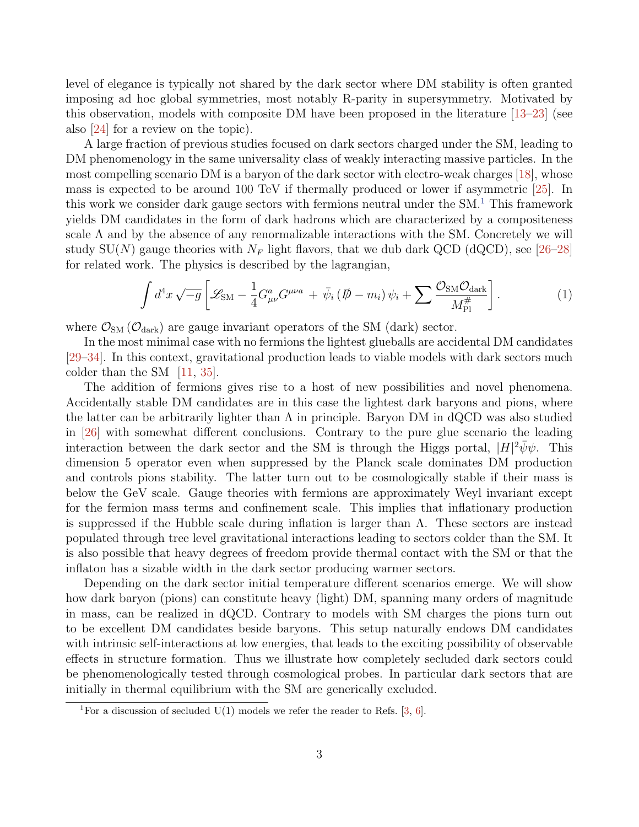level of elegance is typically not shared by the dark sector where DM stability is often granted imposing ad hoc global symmetries, most notably R-parity in supersymmetry. Motivated by this observation, models with composite DM have been proposed in the literature [\[13](#page-28-2)[–23\]](#page-29-0) (see also [\[24\]](#page-29-1) for a review on the topic).

A large fraction of previous studies focused on dark sectors charged under the SM, leading to DM phenomenology in the same universality class of weakly interacting massive particles. In the most compelling scenario DM is a baryon of the dark sector with electro-weak charges [\[18\]](#page-28-3), whose mass is expected to be around 100 TeV if thermally produced or lower if asymmetric [\[25\]](#page-29-2). In this work we consider dark gauge sectors with fermions neutral under the  $SM<sup>1</sup>$  $SM<sup>1</sup>$  $SM<sup>1</sup>$ . This framework yields DM candidates in the form of dark hadrons which are characterized by a compositeness scale  $\Lambda$  and by the absence of any renormalizable interactions with the SM. Concretely we will study SU(N) gauge theories with  $N_F$  light flavors, that we dub dark QCD (dQCD), see [\[26–](#page-29-3)[28\]](#page-29-4) for related work. The physics is described by the lagrangian,

<span id="page-2-1"></span>
$$
\int d^4x \sqrt{-g} \left[ \mathcal{L}_{\rm SM} - \frac{1}{4} G^a_{\mu\nu} G^{\mu\nu a} + \bar{\psi}_i \left( \rlap{\,/}D - m_i \right) \psi_i + \sum \frac{\mathcal{O}_{\rm SM} \mathcal{O}_{\rm dark}}{M_{\rm Pl}^{\#}} \right]. \tag{1}
$$

where  $\mathcal{O}_{SM}(\mathcal{O}_{dark})$  are gauge invariant operators of the SM (dark) sector.

In the most minimal case with no fermions the lightest glueballs are accidental DM candidates [\[29–](#page-29-5)[34\]](#page-29-6). In this context, gravitational production leads to viable models with dark sectors much colder than the SM [\[11,](#page-28-4) [35\]](#page-29-7).

The addition of fermions gives rise to a host of new possibilities and novel phenomena. Accidentally stable DM candidates are in this case the lightest dark baryons and pions, where the latter can be arbitrarily lighter than  $\Lambda$  in principle. Baryon DM in dQCD was also studied in [\[26\]](#page-29-3) with somewhat different conclusions. Contrary to the pure glue scenario the leading interaction between the dark sector and the SM is through the Higgs portal,  $|H|^2 \bar{\psi}\psi$ . This dimension 5 operator even when suppressed by the Planck scale dominates DM production and controls pions stability. The latter turn out to be cosmologically stable if their mass is below the GeV scale. Gauge theories with fermions are approximately Weyl invariant except for the fermion mass terms and confinement scale. This implies that inflationary production is suppressed if the Hubble scale during inflation is larger than  $\Lambda$ . These sectors are instead populated through tree level gravitational interactions leading to sectors colder than the SM. It is also possible that heavy degrees of freedom provide thermal contact with the SM or that the inflaton has a sizable width in the dark sector producing warmer sectors.

Depending on the dark sector initial temperature different scenarios emerge. We will show how dark baryon (pions) can constitute heavy (light) DM, spanning many orders of magnitude in mass, can be realized in dQCD. Contrary to models with SM charges the pions turn out to be excellent DM candidates beside baryons. This setup naturally endows DM candidates with intrinsic self-interactions at low energies, that leads to the exciting possibility of observable effects in structure formation. Thus we illustrate how completely secluded dark sectors could be phenomenologically tested through cosmological probes. In particular dark sectors that are initially in thermal equilibrium with the SM are generically excluded.

<span id="page-2-0"></span><sup>&</sup>lt;sup>1</sup>For a discussion of secluded U(1) models we refer the reader to Refs. [\[3,](#page-28-0) [6\]](#page-28-5).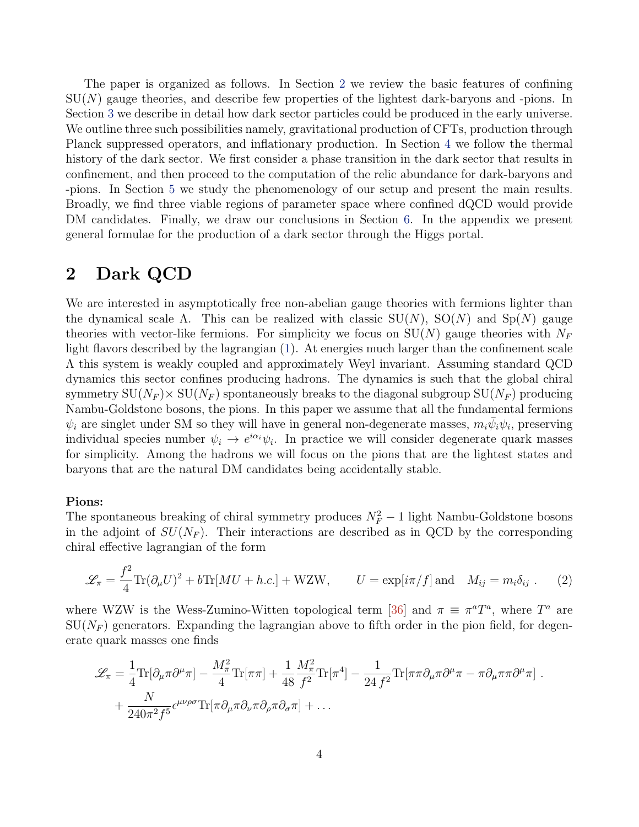The paper is organized as follows. In Section [2](#page-3-0) we review the basic features of confining  $SU(N)$  gauge theories, and describe few properties of the lightest dark-baryons and -pions. In Section [3](#page-5-0) we describe in detail how dark sector particles could be produced in the early universe. We outline three such possibilities namely, gravitational production of CFTs, production through Planck suppressed operators, and inflationary production. In Section [4](#page-10-0) we follow the thermal history of the dark sector. We first consider a phase transition in the dark sector that results in confinement, and then proceed to the computation of the relic abundance for dark-baryons and -pions. In Section [5](#page-16-0) we study the phenomenology of our setup and present the main results. Broadly, we find three viable regions of parameter space where confined dQCD would provide DM candidates. Finally, we draw our conclusions in Section [6.](#page-24-0) In the appendix we present general formulae for the production of a dark sector through the Higgs portal.

# <span id="page-3-0"></span>2 Dark QCD

We are interested in asymptotically free non-abelian gauge theories with fermions lighter than the dynamical scale  $\Lambda$ . This can be realized with classic  $SU(N)$ ,  $SO(N)$  and  $Sp(N)$  gauge theories with vector-like fermions. For simplicity we focus on  $SU(N)$  gauge theories with  $N_F$ light flavors described by the lagrangian [\(1\)](#page-2-1). At energies much larger than the confinement scale Λ this system is weakly coupled and approximately Weyl invariant. Assuming standard QCD dynamics this sector confines producing hadrons. The dynamics is such that the global chiral symmetry  $SU(N_F) \times SU(N_F)$  spontaneously breaks to the diagonal subgroup  $SU(N_F)$  producing Nambu-Goldstone bosons, the pions. In this paper we assume that all the fundamental fermions  $\psi_i$  are singlet under SM so they will have in general non-degenerate masses,  $m_i\bar{\psi}_i\psi_i$ , preserving individual species number  $\psi_i \to e^{i\alpha_i}\psi_i$ . In practice we will consider degenerate quark masses for simplicity. Among the hadrons we will focus on the pions that are the lightest states and baryons that are the natural DM candidates being accidentally stable.

### Pions:

The spontaneous breaking of chiral symmetry produces  $N_F^2 - 1$  light Nambu-Goldstone bosons in the adjoint of  $SU(N_F)$ . Their interactions are described as in QCD by the corresponding chiral effective lagrangian of the form

$$
\mathcal{L}_{\pi} = \frac{f^2}{4} \text{Tr}(\partial_{\mu} U)^2 + b \text{Tr}[MU + h.c.] + WZW, \qquad U = \exp[i\pi/f] \text{ and } M_{ij} = m_i \delta_{ij} . \tag{2}
$$

where WZW is the Wess-Zumino-Witten topological term [\[36\]](#page-30-0) and  $\pi \equiv \pi^a T^a$ , where  $T^a$  are  $SU(N_F)$  generators. Expanding the lagrangian above to fifth order in the pion field, for degenerate quark masses one finds

<span id="page-3-1"></span>
$$
\mathcal{L}_{\pi} = \frac{1}{4} \text{Tr}[\partial_{\mu}\pi \partial^{\mu}\pi] - \frac{M_{\pi}^{2}}{4} \text{Tr}[\pi\pi] + \frac{1}{48} \frac{M_{\pi}^{2}}{f^{2}} \text{Tr}[\pi^{4}] - \frac{1}{24 f^{2}} \text{Tr}[\pi\pi \partial_{\mu}\pi \partial^{\mu}\pi - \pi \partial_{\mu}\pi\pi \partial^{\mu}\pi] + \frac{N}{240\pi^{2} f^{5}} \epsilon^{\mu\nu\rho\sigma} \text{Tr}[\pi \partial_{\mu}\pi \partial_{\nu}\pi \partial_{\rho}\pi \partial_{\sigma}\pi] + \dots
$$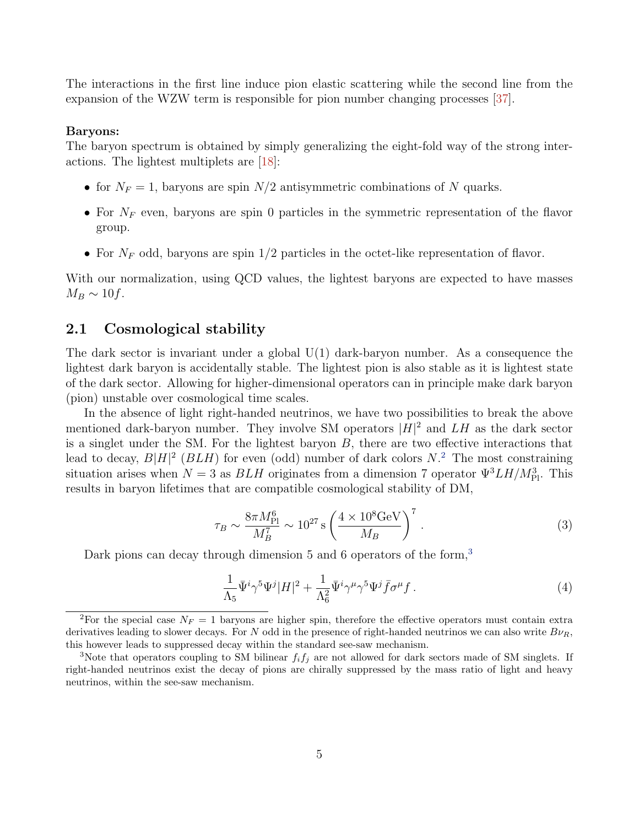The interactions in the first line induce pion elastic scattering while the second line from the expansion of the WZW term is responsible for pion number changing processes [\[37\]](#page-30-1).

#### Baryons:

The baryon spectrum is obtained by simply generalizing the eight-fold way of the strong interactions. The lightest multiplets are [\[18\]](#page-28-3):

- for  $N_F = 1$ , baryons are spin  $N/2$  antisymmetric combinations of N quarks.
- For  $N_F$  even, baryons are spin 0 particles in the symmetric representation of the flavor group.
- For  $N_F$  odd, baryons are spin 1/2 particles in the octet-like representation of flavor.

With our normalization, using QCD values, the lightest baryons are expected to have masses  $M_B \sim 10f$ .

# <span id="page-4-0"></span>2.1 Cosmological stability

The dark sector is invariant under a global  $U(1)$  dark-baryon number. As a consequence the lightest dark baryon is accidentally stable. The lightest pion is also stable as it is lightest state of the dark sector. Allowing for higher-dimensional operators can in principle make dark baryon (pion) unstable over cosmological time scales.

In the absence of light right-handed neutrinos, we have two possibilities to break the above mentioned dark-baryon number. They involve SM operators  $|H|^2$  and  $LH$  as the dark sector is a singlet under the SM. For the lightest baryon  $B$ , there are two effective interactions that lead to decay,  $B|H|^2$  $B|H|^2$  ( $BLH$ ) for even (odd) number of dark colors  $N$ <sup>2</sup>. The most constraining situation arises when  $N = 3$  as  $BLH$  originates from a dimension 7 operator  $\Psi^3 LH/M_{\rm Pl}^3$ . This results in baryon lifetimes that are compatible cosmological stability of DM,

$$
\tau_B \sim \frac{8\pi M_{\rm Pl}^6}{M_B^7} \sim 10^{27} \,\mathrm{s} \left(\frac{4 \times 10^8 \,\mathrm{GeV}}{M_B}\right)^7 \,. \tag{3}
$$

Dark pions can decay through dimension 5 and 6 operators of the form,<sup>[3](#page-4-2)</sup>

$$
\frac{1}{\Lambda_5} \bar{\Psi}^i \gamma^5 \Psi^j |H|^2 + \frac{1}{\Lambda_6^2} \bar{\Psi}^i \gamma^\mu \gamma^5 \Psi^j \bar{f} \sigma^\mu f \,. \tag{4}
$$

<span id="page-4-1"></span><sup>&</sup>lt;sup>2</sup>For the special case  $N_F = 1$  baryons are higher spin, therefore the effective operators must contain extra derivatives leading to slower decays. For N odd in the presence of right-handed neutrinos we can also write  $B\nu_R$ , this however leads to suppressed decay within the standard see-saw mechanism.

<span id="page-4-2"></span><sup>&</sup>lt;sup>3</sup>Note that operators coupling to SM bilinear  $f_i f_j$  are not allowed for dark sectors made of SM singlets. If right-handed neutrinos exist the decay of pions are chirally suppressed by the mass ratio of light and heavy neutrinos, within the see-saw mechanism.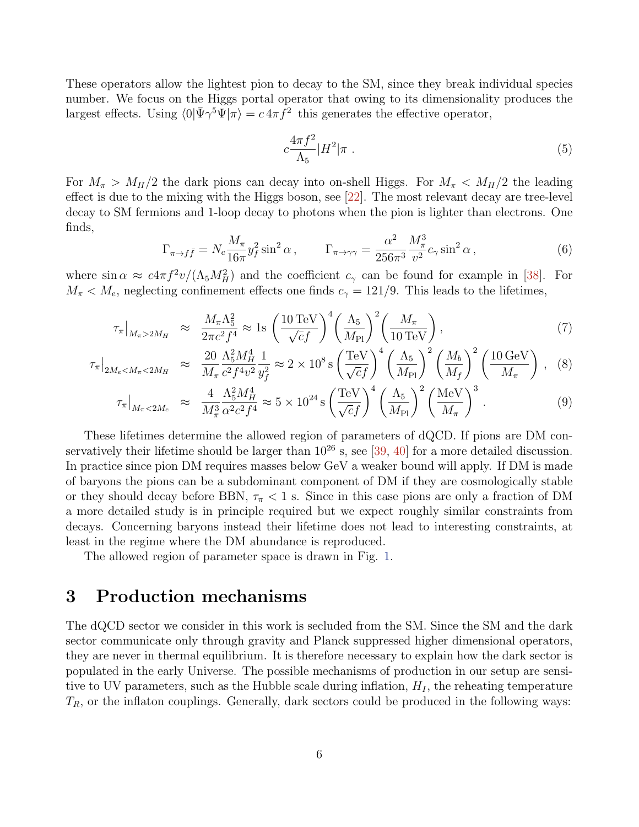These operators allow the lightest pion to decay to the SM, since they break individual species number. We focus on the Higgs portal operator that owing to its dimensionality produces the largest effects. Using  $\langle 0|\bar{\Psi}\gamma^5\Psi|\pi\rangle = c 4\pi \tilde{f}^2$  this generates the effective operator,

$$
c\frac{4\pi f^2}{\Lambda_5}|H^2|\pi\ .
$$
 (5)

For  $M_{\pi} > M_H/2$  the dark pions can decay into on-shell Higgs. For  $M_{\pi} < M_H/2$  the leading effect is due to the mixing with the Higgs boson, see [\[22\]](#page-29-8). The most relevant decay are tree-level decay to SM fermions and 1-loop decay to photons when the pion is lighter than electrons. One finds,

$$
\Gamma_{\pi \to f\bar{f}} = N_c \frac{M_\pi}{16\pi} y_f^2 \sin^2 \alpha , \qquad \Gamma_{\pi \to \gamma\gamma} = \frac{\alpha^2}{256\pi^3} \frac{M_\pi^3}{v^2} c_\gamma \sin^2 \alpha , \qquad (6)
$$

where  $\sin \alpha \approx c 4\pi f^2 v/(\Lambda_5 M_H^2)$  and the coefficient  $c_\gamma$  can be found for example in [\[38\]](#page-30-2). For  $M_{\pi} < M_e$ , neglecting confinement effects one finds  $c_{\gamma} = 121/9$ . This leads to the lifetimes,

<span id="page-5-1"></span>
$$
\tau_{\pi}|_{M_{\pi}>2M_H} \approx \frac{M_{\pi}\Lambda_5^2}{2\pi c^2 f^4} \approx 1 \text{s} \left(\frac{10 \,\text{TeV}}{\sqrt{c}f}\right)^4 \left(\frac{\Lambda_5}{M_{\text{Pl}}}\right)^2 \left(\frac{M_{\pi}}{10 \,\text{TeV}}\right),\tag{7}
$$

$$
\tau_{\pi}|_{2M_e < M_{\pi} < 2M_H} \approx \frac{20}{M_{\pi}} \frac{\Lambda_5^2 M_H^4}{c^2 f^4 v^2} \frac{1}{y_f^2} \approx 2 \times 10^8 \,\text{s} \left(\frac{\text{TeV}}{\sqrt{c}f}\right)^4 \left(\frac{\Lambda_5}{M_{\text{Pl}}}\right)^2 \left(\frac{M_b}{M_f}\right)^2 \left(\frac{10 \,\text{GeV}}{M_{\pi}}\right) \,, \tag{8}
$$

$$
\tau_{\pi}|_{M_{\pi} < 2M_e} \approx \frac{4}{M_{\pi}^3} \frac{\Lambda_5^2 M_H^4}{\alpha^2 c^2 f^4} \approx 5 \times 10^{24} \,\mathrm{s} \left(\frac{\text{TeV}}{\sqrt{c} f}\right)^4 \left(\frac{\Lambda_5}{M_{\text{Pl}}}\right)^2 \left(\frac{\text{MeV}}{M_{\pi}}\right)^3. \tag{9}
$$

These lifetimes determine the allowed region of parameters of dQCD. If pions are DM conservatively their lifetime should be larger than  $10^{26}$  s, see [\[39,](#page-30-3) [40\]](#page-30-4) for a more detailed discussion. In practice since pion DM requires masses below GeV a weaker bound will apply. If DM is made of baryons the pions can be a subdominant component of DM if they are cosmologically stable or they should decay before BBN,  $\tau_{\pi}$  < 1 s. Since in this case pions are only a fraction of DM a more detailed study is in principle required but we expect roughly similar constraints from decays. Concerning baryons instead their lifetime does not lead to interesting constraints, at least in the regime where the DM abundance is reproduced.

The allowed region of parameter space is drawn in Fig. [1.](#page-6-1)

# <span id="page-5-0"></span>3 Production mechanisms

The dQCD sector we consider in this work is secluded from the SM. Since the SM and the dark sector communicate only through gravity and Planck suppressed higher dimensional operators, they are never in thermal equilibrium. It is therefore necessary to explain how the dark sector is populated in the early Universe. The possible mechanisms of production in our setup are sensitive to UV parameters, such as the Hubble scale during inflation,  $H_I$ , the reheating temperature  $T_R$ , or the inflaton couplings. Generally, dark sectors could be produced in the following ways: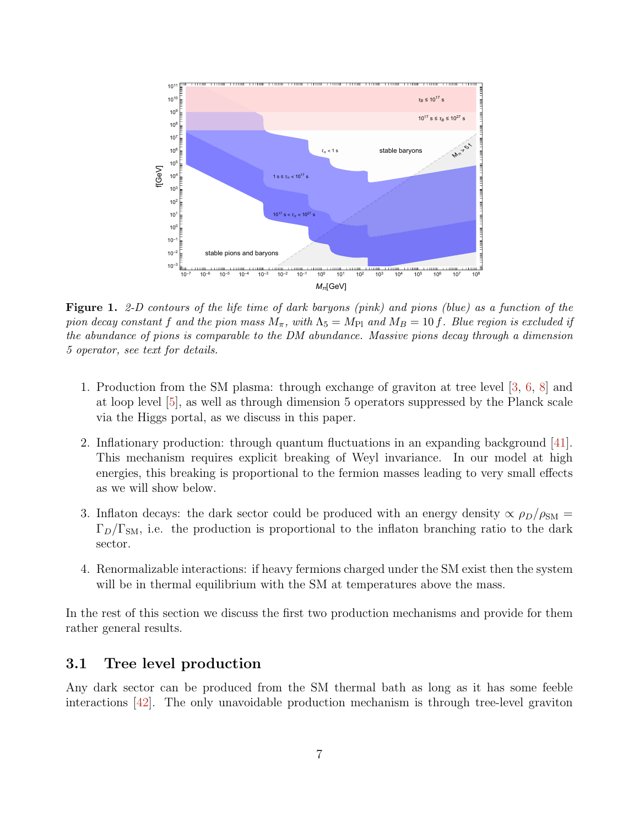<span id="page-6-1"></span>

Figure 1. 2-D contours of the life time of dark baryons (pink) and pions (blue) as a function of the pion decay constant f and the pion mass  $M_{\pi}$ , with  $\Lambda_5 = M_{\text{Pl}}$  and  $M_B = 10$  f. Blue region is excluded if the abundance of pions is comparable to the DM abundance. Massive pions decay through a dimension 5 operator, see text for details.

- 1. Production from the SM plasma: through exchange of graviton at tree level [\[3,](#page-28-0) [6,](#page-28-5) [8\]](#page-28-6) and at loop level [\[5\]](#page-28-7), as well as through dimension 5 operators suppressed by the Planck scale via the Higgs portal, as we discuss in this paper.
- 2. Inflationary production: through quantum fluctuations in an expanding background [\[41\]](#page-30-5). This mechanism requires explicit breaking of Weyl invariance. In our model at high energies, this breaking is proportional to the fermion masses leading to very small effects as we will show below.
- 3. Inflaton decays: the dark sector could be produced with an energy density  $\alpha \rho_D/\rho_{\rm SM} =$  $\Gamma_D/\Gamma_{\text{SM}}$ , i.e. the production is proportional to the inflaton branching ratio to the dark sector.
- 4. Renormalizable interactions: if heavy fermions charged under the SM exist then the system will be in thermal equilibrium with the SM at temperatures above the mass.

In the rest of this section we discuss the first two production mechanisms and provide for them rather general results.

### <span id="page-6-0"></span>3.1 Tree level production

Any dark sector can be produced from the SM thermal bath as long as it has some feeble interactions [\[42\]](#page-30-6). The only unavoidable production mechanism is through tree-level graviton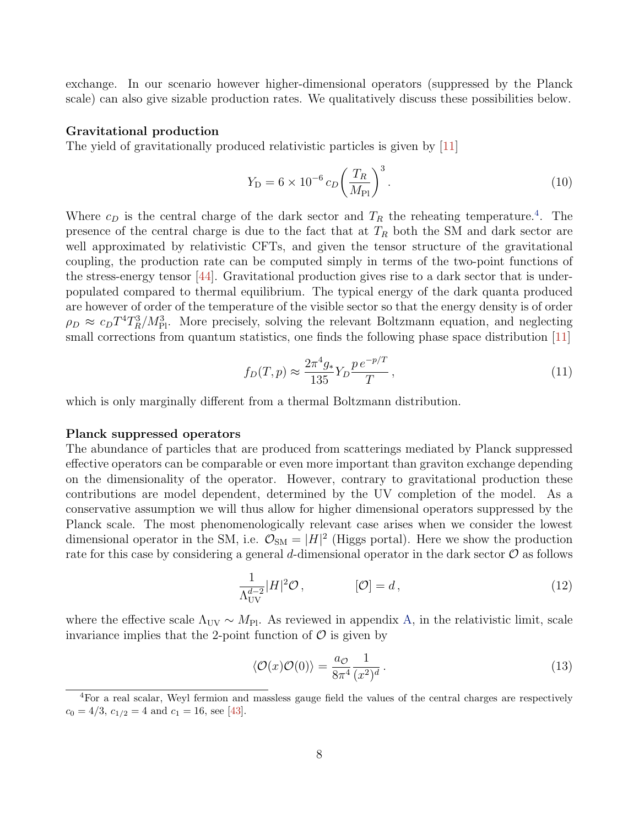exchange. In our scenario however higher-dimensional operators (suppressed by the Planck scale) can also give sizable production rates. We qualitatively discuss these possibilities below.

#### Gravitational production

The yield of gravitationally produced relativistic particles is given by [\[11\]](#page-28-4)

$$
Y_{\rm D} = 6 \times 10^{-6} \, c_D \bigg(\frac{T_R}{M_{\rm Pl}}\bigg)^3 \,. \tag{10}
$$

Where  $c_D$  is the central charge of the dark sector and  $T_R$  the reheating temperature.<sup>[4](#page-7-0)</sup>. The presence of the central charge is due to the fact that at  $T_R$  both the SM and dark sector are well approximated by relativistic CFTs, and given the tensor structure of the gravitational coupling, the production rate can be computed simply in terms of the two-point functions of the stress-energy tensor  $[44]$ . Gravitational production gives rise to a dark sector that is underpopulated compared to thermal equilibrium. The typical energy of the dark quanta produced are however of order of the temperature of the visible sector so that the energy density is of order  $\rho_D \approx c_D T^4 T_R^3 / M_{\rm Pl}^3$ . More precisely, solving the relevant Boltzmann equation, and neglecting small corrections from quantum statistics, one finds the following phase space distribution [\[11\]](#page-28-4)

$$
f_D(T, p) \approx \frac{2\pi^4 g_*}{135} Y_D \frac{p \, e^{-p/T}}{T} \,,\tag{11}
$$

which is only marginally different from a thermal Boltzmann distribution.

#### Planck suppressed operators

The abundance of particles that are produced from scatterings mediated by Planck suppressed effective operators can be comparable or even more important than graviton exchange depending on the dimensionality of the operator. However, contrary to gravitational production these contributions are model dependent, determined by the UV completion of the model. As a conservative assumption we will thus allow for higher dimensional operators suppressed by the Planck scale. The most phenomenologically relevant case arises when we consider the lowest dimensional operator in the SM, i.e.  $\mathcal{O}_{SM} = |H|^2$  (Higgs portal). Here we show the production rate for this case by considering a general d-dimensional operator in the dark sector  $\mathcal O$  as follows

$$
\frac{1}{\Lambda_{\text{UV}}^{d-2}} |H|^2 \mathcal{O}, \qquad [\mathcal{O}] = d, \qquad (12)
$$

where the effective scale  $\Lambda_{\text{UV}} \sim M_{\text{Pl}}$ . As reviewed in appendix [A,](#page-25-0) in the relativistic limit, scale invariance implies that the 2-point function of  $\mathcal O$  is given by

$$
\langle \mathcal{O}(x)\mathcal{O}(0)\rangle = \frac{a_{\mathcal{O}}}{8\pi^4} \frac{1}{(x^2)^d}.
$$
\n(13)

<span id="page-7-0"></span><sup>4</sup>For a real scalar, Weyl fermion and massless gauge field the values of the central charges are respectively  $c_0 = 4/3$ ,  $c_{1/2} = 4$  and  $c_1 = 16$ , see [\[43\]](#page-30-8).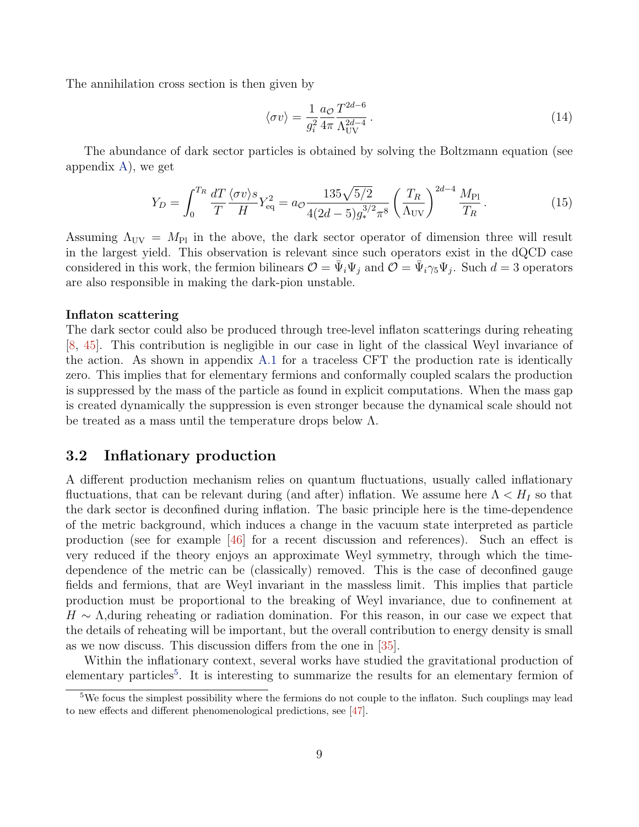The annihilation cross section is then given by

<span id="page-8-2"></span>
$$
\langle \sigma v \rangle = \frac{1}{g_i^2} \frac{a_{\mathcal{O}}}{4\pi} \frac{T^{2d-6}}{\Lambda_{\text{UV}}^{2d-4}} \,. \tag{14}
$$

The abundance of dark sector particles is obtained by solving the Boltzmann equation (see appendix [A\)](#page-25-0), we get

$$
Y_D = \int_0^{T_R} \frac{dT}{T} \frac{\langle \sigma v \rangle s}{H} Y_{\text{eq}}^2 = a_{\mathcal{O}} \frac{135 \sqrt{5/2}}{4(2d - 5) g_*^{3/2} \pi^8} \left(\frac{T_R}{\Lambda_{\text{UV}}}\right)^{2d - 4} \frac{M_{\text{Pl}}}{T_R} \,. \tag{15}
$$

Assuming  $\Lambda_{\text{UV}} = M_{\text{Pl}}$  in the above, the dark sector operator of dimension three will result in the largest yield. This observation is relevant since such operators exist in the dQCD case considered in this work, the fermion bilinears  $\mathcal{O} = \bar{\Psi}_i \Psi_j$  and  $\mathcal{O} = \bar{\Psi}_i \gamma_5 \Psi_j$ . Such  $d = 3$  operators are also responsible in making the dark-pion unstable.

#### Inflaton scattering

The dark sector could also be produced through tree-level inflaton scatterings during reheating [\[8,](#page-28-6) [45\]](#page-30-9). This contribution is negligible in our case in light of the classical Weyl invariance of the action. As shown in appendix [A.1](#page-27-0) for a traceless CFT the production rate is identically zero. This implies that for elementary fermions and conformally coupled scalars the production is suppressed by the mass of the particle as found in explicit computations. When the mass gap is created dynamically the suppression is even stronger because the dynamical scale should not be treated as a mass until the temperature drops below Λ.

# <span id="page-8-0"></span>3.2 Inflationary production

A different production mechanism relies on quantum fluctuations, usually called inflationary fluctuations, that can be relevant during (and after) inflation. We assume here  $\Lambda < H_I$  so that the dark sector is deconfined during inflation. The basic principle here is the time-dependence of the metric background, which induces a change in the vacuum state interpreted as particle production (see for example [\[46\]](#page-30-10) for a recent discussion and references). Such an effect is very reduced if the theory enjoys an approximate Weyl symmetry, through which the timedependence of the metric can be (classically) removed. This is the case of deconfined gauge fields and fermions, that are Weyl invariant in the massless limit. This implies that particle production must be proportional to the breaking of Weyl invariance, due to confinement at  $H \sim \Lambda$ , during reheating or radiation domination. For this reason, in our case we expect that the details of reheating will be important, but the overall contribution to energy density is small as we now discuss. This discussion differs from the one in [\[35\]](#page-29-7).

Within the inflationary context, several works have studied the gravitational production of elementary particles<sup>[5](#page-8-1)</sup>. It is interesting to summarize the results for an elementary fermion of

<span id="page-8-1"></span><sup>&</sup>lt;sup>5</sup>We focus the simplest possibility where the fermions do not couple to the inflaton. Such couplings may lead to new effects and different phenomenological predictions, see [\[47\]](#page-30-11).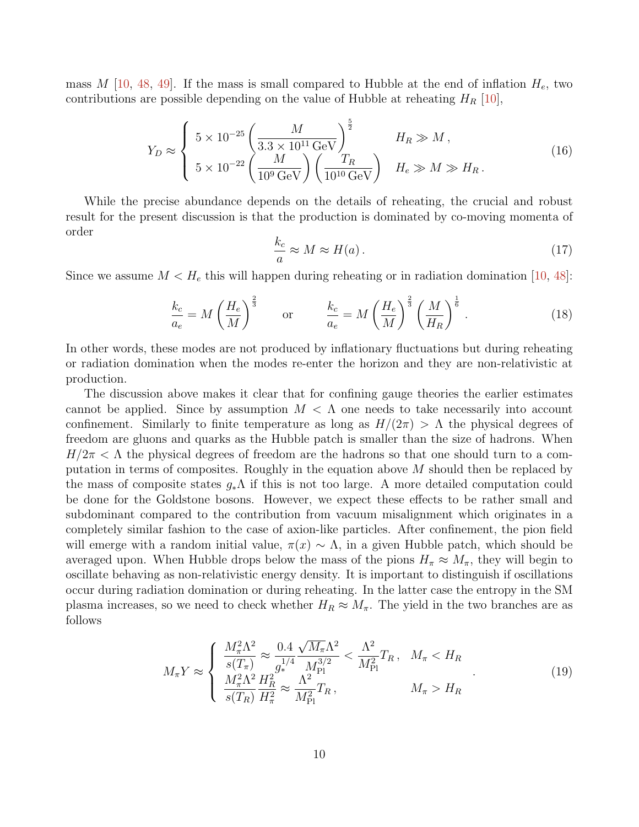mass M  $[10, 48, 49]$  $[10, 48, 49]$  $[10, 48, 49]$  $[10, 48, 49]$  $[10, 48, 49]$ . If the mass is small compared to Hubble at the end of inflation  $H_e$ , two contributions are possible depending on the value of Hubble at reheating  $H_R$  [\[10\]](#page-28-8),

$$
Y_D \approx \begin{cases} 5 \times 10^{-25} \left( \frac{M}{3.3 \times 10^{11} \text{ GeV}} \right)^{\frac{5}{2}} & H_R \gg M \,, \\ 5 \times 10^{-22} \left( \frac{M}{10^9 \text{ GeV}} \right) \left( \frac{T_R}{10^{10} \text{ GeV}} \right) & H_e \gg M \gg H_R \,. \end{cases} \tag{16}
$$

While the precise abundance depends on the details of reheating, the crucial and robust result for the present discussion is that the production is dominated by co-moving momenta of order

$$
\frac{k_c}{a} \approx M \approx H(a). \tag{17}
$$

Since we assume  $M < H_e$  this will happen during reheating or in radiation domination [\[10,](#page-28-8) [48\]](#page-30-12):

$$
\frac{k_c}{a_e} = M \left(\frac{H_e}{M}\right)^{\frac{2}{3}} \quad \text{or} \quad \frac{k_c}{a_e} = M \left(\frac{H_e}{M}\right)^{\frac{2}{3}} \left(\frac{M}{H_R}\right)^{\frac{1}{6}}.
$$
\n(18)

In other words, these modes are not produced by inflationary fluctuations but during reheating or radiation domination when the modes re-enter the horizon and they are non-relativistic at production.

The discussion above makes it clear that for confining gauge theories the earlier estimates cannot be applied. Since by assumption  $M < \Lambda$  one needs to take necessarily into account confinement. Similarly to finite temperature as long as  $H/(2\pi) > \Lambda$  the physical degrees of freedom are gluons and quarks as the Hubble patch is smaller than the size of hadrons. When  $H/2\pi < \Lambda$  the physical degrees of freedom are the hadrons so that one should turn to a computation in terms of composites. Roughly in the equation above  $M$  should then be replaced by the mass of composite states  $g_*\Lambda$  if this is not too large. A more detailed computation could be done for the Goldstone bosons. However, we expect these effects to be rather small and subdominant compared to the contribution from vacuum misalignment which originates in a completely similar fashion to the case of axion-like particles. After confinement, the pion field will emerge with a random initial value,  $\pi(x) \sim \Lambda$ , in a given Hubble patch, which should be averaged upon. When Hubble drops below the mass of the pions  $H_{\pi} \approx M_{\pi}$ , they will begin to oscillate behaving as non-relativistic energy density. It is important to distinguish if oscillations occur during radiation domination or during reheating. In the latter case the entropy in the SM plasma increases, so we need to check whether  $H_R \approx M_\pi$ . The yield in the two branches are as follows

$$
M_{\pi}Y \approx \begin{cases} \frac{M_{\pi}^2 \Lambda^2}{s(T_{\pi})} \approx \frac{0.4}{g_*^{1/4}} \frac{\sqrt{M_{\pi}} \Lambda^2}{M_{\text{Pl}}^{3/2}} < \frac{\Lambda^2}{M_{\text{Pl}}^2} T_R, \quad M_{\pi} < H_R\\ \frac{M_{\pi}^2 \Lambda^2}{s(T_R)} \frac{H_R^2}{H_{\pi}^2} \approx \frac{\Lambda^2}{M_{\text{Pl}}^2} T_R, \quad M_{\pi} > H_R \end{cases} \tag{19}
$$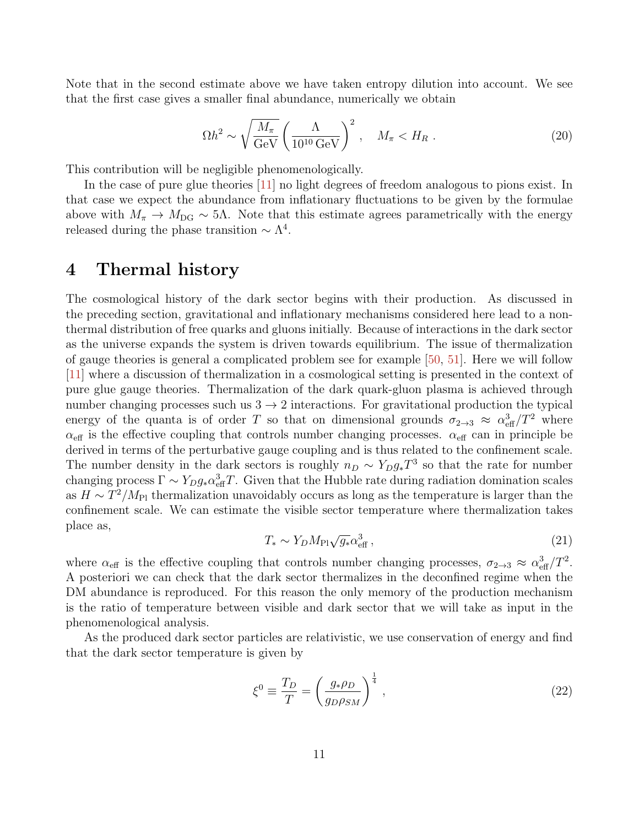Note that in the second estimate above we have taken entropy dilution into account. We see that the first case gives a smaller final abundance, numerically we obtain

$$
\Omega h^2 \sim \sqrt{\frac{M_\pi}{\text{GeV}}} \left(\frac{\Lambda}{10^{10} \text{ GeV}}\right)^2, \quad M_\pi < H_R \,. \tag{20}
$$

This contribution will be negligible phenomenologically.

In the case of pure glue theories [\[11\]](#page-28-4) no light degrees of freedom analogous to pions exist. In that case we expect the abundance from inflationary fluctuations to be given by the formulae above with  $M_{\pi} \to M_{\text{DG}} \sim 5\Lambda$ . Note that this estimate agrees parametrically with the energy released during the phase transition  $\sim \Lambda^4$ .

# <span id="page-10-0"></span>4 Thermal history

The cosmological history of the dark sector begins with their production. As discussed in the preceding section, gravitational and inflationary mechanisms considered here lead to a nonthermal distribution of free quarks and gluons initially. Because of interactions in the dark sector as the universe expands the system is driven towards equilibrium. The issue of thermalization of gauge theories is general a complicated problem see for example [\[50,](#page-30-14) [51\]](#page-30-15). Here we will follow [\[11\]](#page-28-4) where a discussion of thermalization in a cosmological setting is presented in the context of pure glue gauge theories. Thermalization of the dark quark-gluon plasma is achieved through number changing processes such us  $3 \rightarrow 2$  interactions. For gravitational production the typical energy of the quanta is of order T so that on dimensional grounds  $\sigma_{2\to 3} \approx \alpha_{\text{eff}}^3/T^2$  where  $\alpha_{\text{eff}}$  is the effective coupling that controls number changing processes.  $\alpha_{\text{eff}}$  can in principle be derived in terms of the perturbative gauge coupling and is thus related to the confinement scale. The number density in the dark sectors is roughly  $n_D \sim Y_D g_* T^3$  so that the rate for number changing process  $\Gamma \sim Y_D g_* \alpha_{\text{eff}}^3 T$ . Given that the Hubble rate during radiation domination scales as  $H \sim T^2/M_{\rm Pl}$  thermalization unavoidably occurs as long as the temperature is larger than the confinement scale. We can estimate the visible sector temperature where thermalization takes place as,

<span id="page-10-1"></span>
$$
T_* \sim Y_D M_{\rm Pl} \sqrt{g_*} \alpha_{\rm eff}^3 \,, \tag{21}
$$

where  $\alpha_{\text{eff}}$  is the effective coupling that controls number changing processes,  $\sigma_{2\to 3} \approx \alpha_{\text{eff}}^3/T^2$ . A posteriori we can check that the dark sector thermalizes in the deconfined regime when the DM abundance is reproduced. For this reason the only memory of the production mechanism is the ratio of temperature between visible and dark sector that we will take as input in the phenomenological analysis.

As the produced dark sector particles are relativistic, we use conservation of energy and find that the dark sector temperature is given by

<span id="page-10-2"></span>
$$
\xi^0 \equiv \frac{T_D}{T} = \left(\frac{g_* \rho_D}{g_D \rho_{SM}}\right)^{\frac{1}{4}},\tag{22}
$$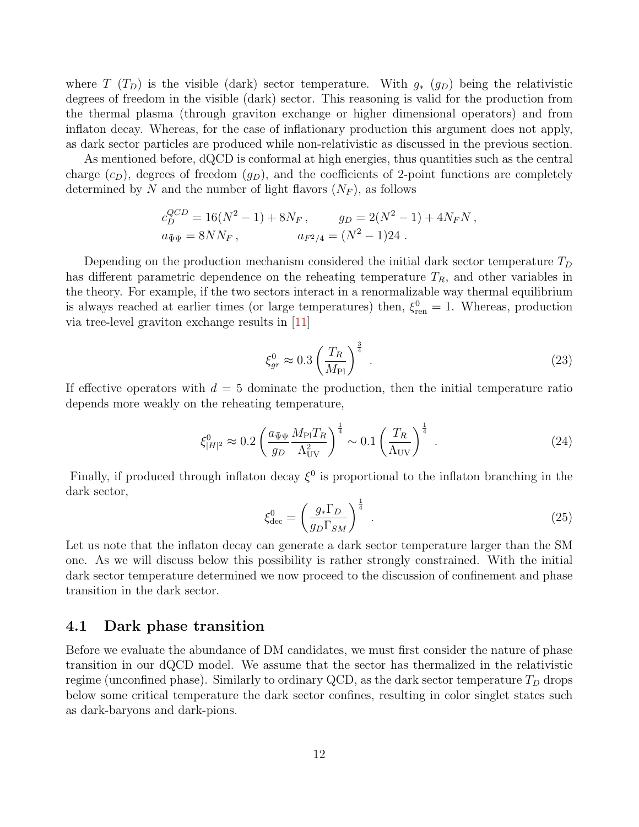where  $T(T_D)$  is the visible (dark) sector temperature. With  $g_*$  ( $g_D$ ) being the relativistic degrees of freedom in the visible (dark) sector. This reasoning is valid for the production from the thermal plasma (through graviton exchange or higher dimensional operators) and from inflaton decay. Whereas, for the case of inflationary production this argument does not apply, as dark sector particles are produced while non-relativistic as discussed in the previous section.

As mentioned before, dQCD is conformal at high energies, thus quantities such as the central charge  $(c_D)$ , degrees of freedom  $(g_D)$ , and the coefficients of 2-point functions are completely determined by N and the number of light flavors  $(N_F)$ , as follows

$$
c_D^{QCD} = 16(N^2 - 1) + 8N_F, \t g_D = 2(N^2 - 1) + 4N_FN,
$$
  

$$
a_{\bar{\Psi}\Psi} = 8NN_F, \t a_{F^2/4} = (N^2 - 1)24.
$$

Depending on the production mechanism considered the initial dark sector temperature  $T_D$ has different parametric dependence on the reheating temperature  $T_R$ , and other variables in the theory. For example, if the two sectors interact in a renormalizable way thermal equilibrium is always reached at earlier times (or large temperatures) then,  $\xi_{\text{ren}}^0 = 1$ . Whereas, production via tree-level graviton exchange results in [\[11\]](#page-28-4)

$$
\xi_{gr}^0 \approx 0.3 \left(\frac{T_R}{M_{\text{Pl}}}\right)^{\frac{3}{4}}.
$$
\n(23)

If effective operators with  $d = 5$  dominate the production, then the initial temperature ratio depends more weakly on the reheating temperature,

$$
\xi_{|H|^2}^0 \approx 0.2 \left( \frac{a_{\bar{\Psi}\Psi}}{g_D} \frac{M_{\rm Pl} T_R}{\Lambda_{\rm UV}^2} \right)^{\frac{1}{4}} \sim 0.1 \left( \frac{T_R}{\Lambda_{\rm UV}} \right)^{\frac{1}{4}} . \tag{24}
$$

Finally, if produced through inflaton decay  $\xi^0$  is proportional to the inflaton branching in the dark sector,

$$
\xi_{\text{dec}}^0 = \left(\frac{g_* \Gamma_D}{g_D \Gamma_{SM}}\right)^{\frac{1}{4}}.
$$
\n(25)

Let us note that the inflaton decay can generate a dark sector temperature larger than the SM one. As we will discuss below this possibility is rather strongly constrained. With the initial dark sector temperature determined we now proceed to the discussion of confinement and phase transition in the dark sector.

### <span id="page-11-0"></span>4.1 Dark phase transition

Before we evaluate the abundance of DM candidates, we must first consider the nature of phase transition in our dQCD model. We assume that the sector has thermalized in the relativistic regime (unconfined phase). Similarly to ordinary QCD, as the dark sector temperature  $T_D$  drops below some critical temperature the dark sector confines, resulting in color singlet states such as dark-baryons and dark-pions.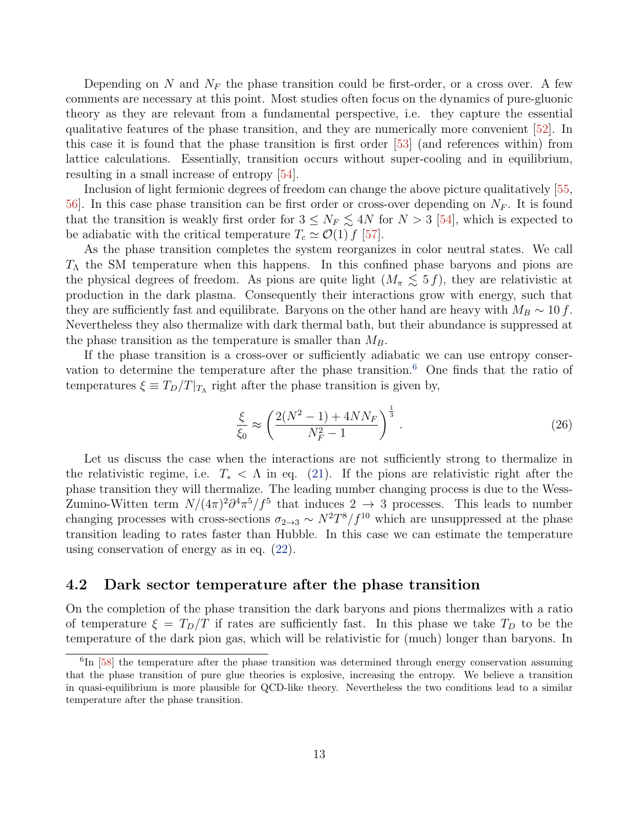Depending on N and  $N_F$  the phase transition could be first-order, or a cross over. A few comments are necessary at this point. Most studies often focus on the dynamics of pure-gluonic theory as they are relevant from a fundamental perspective, i.e. they capture the essential qualitative features of the phase transition, and they are numerically more convenient [\[52\]](#page-31-0). In this case it is found that the phase transition is first order [\[53\]](#page-31-1) (and references within) from lattice calculations. Essentially, transition occurs without super-cooling and in equilibrium, resulting in a small increase of entropy [\[54\]](#page-31-2).

Inclusion of light fermionic degrees of freedom can change the above picture qualitatively [\[55,](#page-31-3)  $56$ . In this case phase transition can be first order or cross-over depending on  $N_F$ . It is found that the transition is weakly first order for  $3 \leq N_F \leq 4N$  for  $N > 3$  [\[54\]](#page-31-2), which is expected to be adiabatic with the critical temperature  $T_c \simeq \mathcal{O}(1) f$  [\[57\]](#page-31-5).

As the phase transition completes the system reorganizes in color neutral states. We call  $T_{\Lambda}$  the SM temperature when this happens. In this confined phase baryons and pions are the physical degrees of freedom. As pions are quite light  $(M_\pi \lesssim 5 f)$ , they are relativistic at production in the dark plasma. Consequently their interactions grow with energy, such that they are sufficiently fast and equilibrate. Baryons on the other hand are heavy with  $M_B \sim 10 f$ . Nevertheless they also thermalize with dark thermal bath, but their abundance is suppressed at the phase transition as the temperature is smaller than  $M_B$ .

If the phase transition is a cross-over or sufficiently adiabatic we can use entropy conser-vation to determine the temperature after the phase transition.<sup>[6](#page-12-1)</sup> One finds that the ratio of temperatures  $\xi \equiv T_D/T|_{T_{\Lambda}}$  right after the phase transition is given by,

<span id="page-12-2"></span>
$$
\frac{\xi}{\xi_0} \approx \left(\frac{2(N^2 - 1) + 4NN_F}{N_F^2 - 1}\right)^{\frac{1}{3}}.
$$
\n(26)

Let us discuss the case when the interactions are not sufficiently strong to thermalize in the relativistic regime, i.e.  $T_* < \Lambda$  in eq. [\(21\)](#page-10-1). If the pions are relativistic right after the phase transition they will thermalize. The leading number changing process is due to the Wess-Zumino-Witten term  $N/(4\pi)^2 \partial^4 \pi^5/f^5$  that induces  $2 \to 3$  processes. This leads to number changing processes with cross-sections  $\sigma_{2\to 3} \sim N^2T^8/f^{10}$  which are unsuppressed at the phase transition leading to rates faster than Hubble. In this case we can estimate the temperature using conservation of energy as in eq. [\(22\)](#page-10-2).

### <span id="page-12-0"></span>4.2 Dark sector temperature after the phase transition

On the completion of the phase transition the dark baryons and pions thermalizes with a ratio of temperature  $\xi = T_D/T$  if rates are sufficiently fast. In this phase we take  $T_D$  to be the temperature of the dark pion gas, which will be relativistic for (much) longer than baryons. In

<span id="page-12-1"></span><sup>&</sup>lt;sup>6</sup>In [\[58\]](#page-31-6) the temperature after the phase transition was determined through energy conservation assuming that the phase transition of pure glue theories is explosive, increasing the entropy. We believe a transition in quasi-equilibrium is more plausible for QCD-like theory. Nevertheless the two conditions lead to a similar temperature after the phase transition.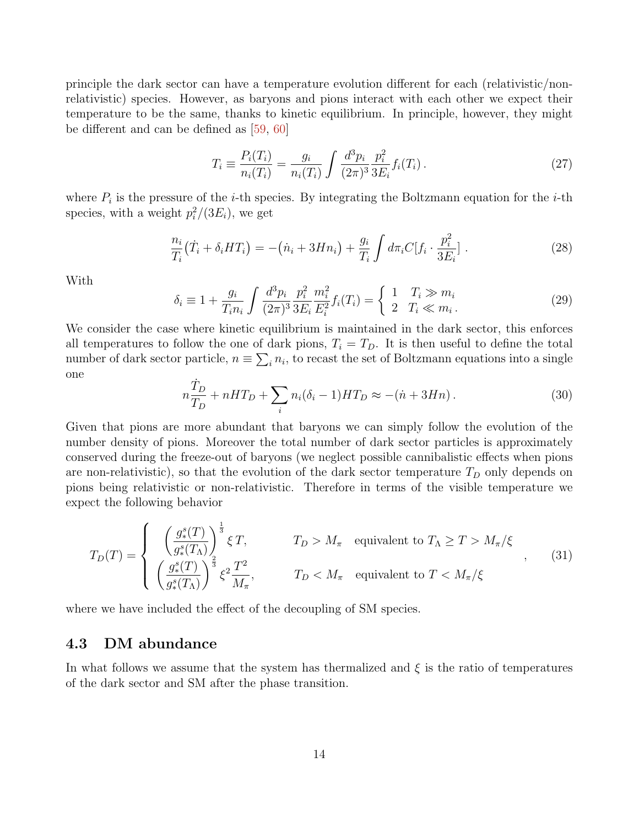principle the dark sector can have a temperature evolution different for each (relativistic/nonrelativistic) species. However, as baryons and pions interact with each other we expect their temperature to be the same, thanks to kinetic equilibrium. In principle, however, they might be different and can be defined as [\[59,](#page-31-7) [60\]](#page-31-8)

$$
T_i \equiv \frac{P_i(T_i)}{n_i(T_i)} = \frac{g_i}{n_i(T_i)} \int \frac{d^3 p_i}{(2\pi)^3} \frac{p_i^2}{3E_i} f_i(T_i).
$$
 (27)

where  $P_i$  is the pressure of the *i*-th species. By integrating the Boltzmann equation for the *i*-th species, with a weight  $p_i^2/(3E_i)$ , we get

$$
\frac{n_i}{T_i}(\dot{T}_i + \delta_i HT_i) = -(\dot{n}_i + 3Hn_i) + \frac{g_i}{T_i} \int d\pi_i C[f_i \cdot \frac{p_i^2}{3E_i}].
$$
\n(28)

With

$$
\delta_i \equiv 1 + \frac{g_i}{T_i n_i} \int \frac{d^3 p_i}{(2\pi)^3} \frac{p_i^2}{3E_i} \frac{m_i^2}{E_i^2} f_i(T_i) = \begin{cases} 1 & T_i \gg m_i \\ 2 & T_i \ll m_i. \end{cases}
$$
 (29)

We consider the case where kinetic equilibrium is maintained in the dark sector, this enforces all temperatures to follow the one of dark pions,  $T_i = T_D$ . It is then useful to define the total number of dark sector particle,  $n \equiv \sum_i n_i$ , to recast the set of Boltzmann equations into a single one

$$
n\frac{\dot{T}_D}{T_D} + nHT_D + \sum_i n_i(\delta_i - 1)HT_D \approx -(n + 3Hn). \tag{30}
$$

Given that pions are more abundant that baryons we can simply follow the evolution of the number density of pions. Moreover the total number of dark sector particles is approximately conserved during the freeze-out of baryons (we neglect possible cannibalistic effects when pions are non-relativistic), so that the evolution of the dark sector temperature  $T_D$  only depends on pions being relativistic or non-relativistic. Therefore in terms of the visible temperature we expect the following behavior

<span id="page-13-1"></span>
$$
T_D(T) = \begin{cases} \left(\frac{g_*^s(T)}{g_*^s(T_\Lambda)}\right)^{\frac{1}{3}} \xi T, & T_D > M_\pi \quad \text{equivalent to } T_\Lambda \ge T > M_\pi/\xi\\ \left(\frac{g_*^s(T)}{g_*^s(T_\Lambda)}\right)^{\frac{2}{3}} \xi^2 \frac{T^2}{M_\pi}, & T_D < M_\pi \quad \text{equivalent to } T < M_\pi/\xi \end{cases}, \tag{31}
$$

where we have included the effect of the decoupling of SM species.

### <span id="page-13-0"></span>4.3 DM abundance

In what follows we assume that the system has thermalized and  $\xi$  is the ratio of temperatures of the dark sector and SM after the phase transition.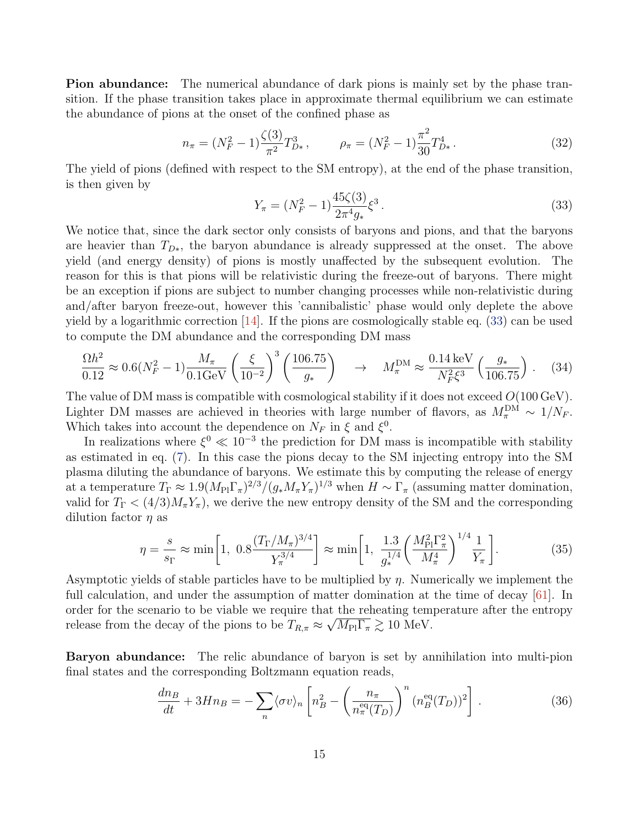Pion abundance: The numerical abundance of dark pions is mainly set by the phase transition. If the phase transition takes place in approximate thermal equilibrium we can estimate the abundance of pions at the onset of the confined phase as

<span id="page-14-3"></span>
$$
n_{\pi} = (N_F^2 - 1) \frac{\zeta(3)}{\pi^2} T_{D*}^3, \qquad \rho_{\pi} = (N_F^2 - 1) \frac{\pi^2}{30} T_{D*}^4.
$$
 (32)

The yield of pions (defined with respect to the SM entropy), at the end of the phase transition, is then given by

<span id="page-14-0"></span>
$$
Y_{\pi} = (N_F^2 - 1) \frac{45\zeta(3)}{2\pi^4 g_*} \xi^3. \tag{33}
$$

We notice that, since the dark sector only consists of baryons and pions, and that the baryons are heavier than  $T_{D*}$ , the baryon abundance is already suppressed at the onset. The above yield (and energy density) of pions is mostly unaffected by the subsequent evolution. The reason for this is that pions will be relativistic during the freeze-out of baryons. There might be an exception if pions are subject to number changing processes while non-relativistic during and/after baryon freeze-out, however this 'cannibalistic' phase would only deplete the above yield by a logarithmic correction [\[14\]](#page-28-9). If the pions are cosmologically stable eq. [\(33\)](#page-14-0) can be used to compute the DM abundance and the corresponding DM mass

<span id="page-14-2"></span>
$$
\frac{\Omega h^2}{0.12} \approx 0.6(N_F^2 - 1) \frac{M_\pi}{0.1 \text{GeV}} \left(\frac{\xi}{10^{-2}}\right)^3 \left(\frac{106.75}{g_*}\right) \quad \to \quad M_\pi^{\text{DM}} \approx \frac{0.14 \,\text{keV}}{N_F^2 \xi^3} \left(\frac{g_*}{106.75}\right) \,. \tag{34}
$$

The value of DM mass is compatible with cosmological stability if it does not exceed  $O(100 \,\text{GeV})$ . Lighter DM masses are achieved in theories with large number of flavors, as  $M_{\pi}^{\text{DM}} \sim 1/N_F$ . Which takes into account the dependence on  $N_F$  in  $\xi$  and  $\xi^0$ .

In realizations where  $\xi^0 \ll 10^{-3}$  the prediction for DM mass is incompatible with stability as estimated in eq. [\(7\)](#page-5-1). In this case the pions decay to the SM injecting entropy into the SM plasma diluting the abundance of baryons. We estimate this by computing the release of energy at a temperature  $T_{\Gamma} \approx 1.9(M_{\rm Pl} \Gamma_{\pi})^{2/3} / (g_* M_{\pi} Y_{\pi})^{1/3}$  when  $H \sim \Gamma_{\pi}$  (assuming matter domination, valid for  $T_{\Gamma} < (4/3) M_{\pi} Y_{\pi}$ , we derive the new entropy density of the SM and the corresponding dilution factor  $\eta$  as

<span id="page-14-1"></span>
$$
\eta = \frac{s}{s_{\Gamma}} \approx \min\left[1, \ 0.8 \frac{(T_{\Gamma}/M_{\pi})^{3/4}}{Y_{\pi}^{3/4}}\right] \approx \min\left[1, \ \frac{1.3}{g_*^{1/4}} \left(\frac{M_{\rm Pl}^2 \Gamma_{\pi}^2}{M_{\pi}^4}\right)^{1/4} \frac{1}{Y_{\pi}}\right].\tag{35}
$$

Asymptotic yields of stable particles have to be multiplied by  $\eta$ . Numerically we implement the full calculation, and under the assumption of matter domination at the time of decay [\[61\]](#page-31-9). In order for the scenario to be viable we require that the reheating temperature after the entropy release from the decay of the pions to be  $T_{R,\pi} \approx \sqrt{M_{\rm Pl} \Gamma_{\pi}} \gtrsim 10 \text{ MeV}$ .

Baryon abundance: The relic abundance of baryon is set by annihilation into multi-pion final states and the corresponding Boltzmann equation reads,

$$
\frac{dn_B}{dt} + 3Hn_B = -\sum_n \langle \sigma v \rangle_n \left[ n_B^2 - \left( \frac{n_\pi}{n_\pi^{\text{eq}}(T_D)} \right)^n (n_B^{\text{eq}}(T_D))^2 \right]. \tag{36}
$$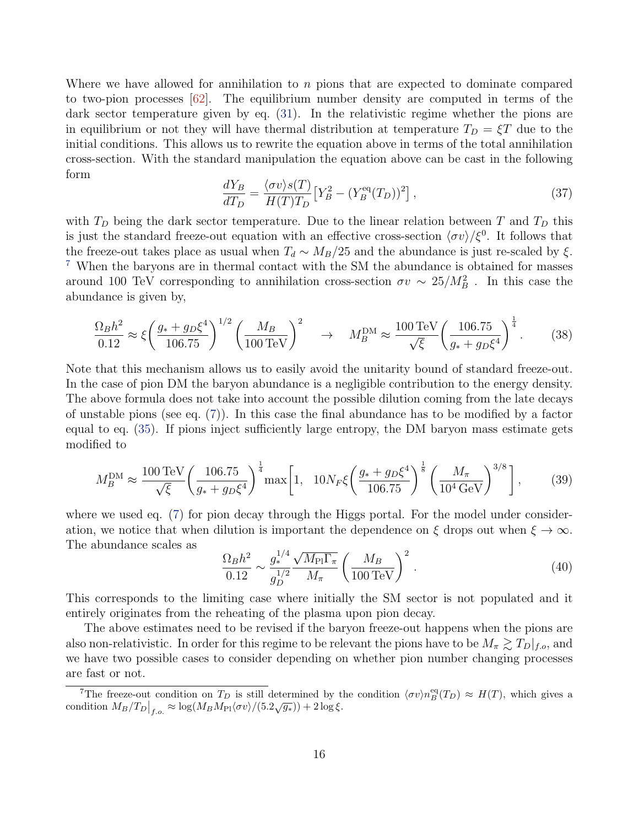Where we have allowed for annihilation to  $n$  pions that are expected to dominate compared to two-pion processes [\[62\]](#page-31-10). The equilibrium number density are computed in terms of the dark sector temperature given by eq. [\(31\)](#page-13-1). In the relativistic regime whether the pions are in equilibrium or not they will have thermal distribution at temperature  $T_D = \xi T$  due to the initial conditions. This allows us to rewrite the equation above in terms of the total annihilation cross-section. With the standard manipulation the equation above can be cast in the following form

$$
\frac{dY_B}{dT_D} = \frac{\langle \sigma v \rangle s(T)}{H(T)T_D} \left[ Y_B^2 - (Y_B^{\text{eq}}(T_D))^2 \right],\tag{37}
$$

with  $T_D$  being the dark sector temperature. Due to the linear relation between T and  $T_D$  this is just the standard freeze-out equation with an effective cross-section  $\langle \sigma v \rangle/\xi^0$ . It follows that the freeze-out takes place as usual when  $T_d \sim M_B/25$  and the abundance is just re-scaled by  $\xi$ . [7](#page-15-0) When the baryons are in thermal contact with the SM the abundance is obtained for masses around 100 TeV corresponding to annihilation cross-section  $\sigma v \sim 25/M_B^2$ . In this case the abundance is given by,

<span id="page-15-1"></span>
$$
\frac{\Omega_B h^2}{0.12} \approx \xi \left(\frac{g_* + g_D \xi^4}{106.75}\right)^{1/2} \left(\frac{M_B}{100 \,\text{TeV}}\right)^2 \quad \to \quad M_B^{\text{DM}} \approx \frac{100 \,\text{TeV}}{\sqrt{\xi}} \left(\frac{106.75}{g_* + g_D \xi^4}\right)^{\frac{1}{4}}.\tag{38}
$$

Note that this mechanism allows us to easily avoid the unitarity bound of standard freeze-out. In the case of pion DM the baryon abundance is a negligible contribution to the energy density. The above formula does not take into account the possible dilution coming from the late decays of unstable pions (see eq. [\(7\)](#page-5-1)). In this case the final abundance has to be modified by a factor equal to eq. [\(35\)](#page-14-1). If pions inject sufficiently large entropy, the DM baryon mass estimate gets modified to

<span id="page-15-2"></span>
$$
M_B^{\rm DM} \approx \frac{100 \,\text{TeV}}{\sqrt{\xi}} \left( \frac{106.75}{g_* + g_D \xi^4} \right)^{\frac{1}{4}} \max \left[ 1, \ 10N_F \xi \left( \frac{g_* + g_D \xi^4}{106.75} \right)^{\frac{1}{8}} \left( \frac{M_\pi}{10^4 \,\text{GeV}} \right)^{3/8} \right],\tag{39}
$$

where we used eq. [\(7\)](#page-5-1) for pion decay through the Higgs portal. For the model under consideration, we notice that when dilution is important the dependence on  $\xi$  drops out when  $\xi \to \infty$ . The abundance scales as √

$$
\frac{\Omega_B h^2}{0.12} \sim \frac{g_*^{1/4}}{g_D^{1/2}} \frac{\sqrt{M_{\rm Pl} \Gamma_\pi}}{M_\pi} \left(\frac{M_B}{100 \,\text{TeV}}\right)^2.
$$
 (40)

This corresponds to the limiting case where initially the SM sector is not populated and it entirely originates from the reheating of the plasma upon pion decay.

The above estimates need to be revised if the baryon freeze-out happens when the pions are also non-relativistic. In order for this regime to be relevant the pions have to be  $M_{\pi} \gtrsim T_D|_{f.o.}$  and we have two possible cases to consider depending on whether pion number changing processes are fast or not.

<span id="page-15-0"></span><sup>&</sup>lt;sup>7</sup>The freeze-out condition on  $T_D$  is still determined by the condition  $\langle \sigma v \rangle n_B^{\text{eq}}(T_D) \approx H(T)$ , which gives a First received condition on  $T_D$  is semi-determined by the condition  $M_B/T_D|_{f.o.} \approx \log(M_B M_{\rm Pl} \langle \sigma v \rangle/(5.2 \sqrt{g_*})) + 2 \log \xi$ .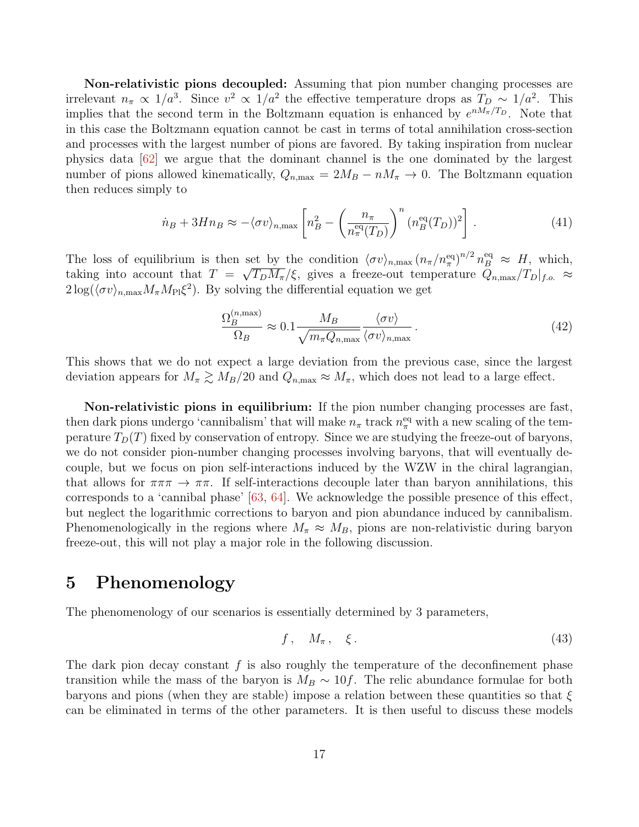Non-relativistic pions decoupled: Assuming that pion number changing processes are irrelevant  $n_{\pi} \propto 1/a^3$ . Since  $v^2 \propto 1/a^2$  the effective temperature drops as  $T_D \sim 1/a^2$ . This implies that the second term in the Boltzmann equation is enhanced by  $e^{nM_{\pi}/T_D}$ . Note that in this case the Boltzmann equation cannot be cast in terms of total annihilation cross-section and processes with the largest number of pions are favored. By taking inspiration from nuclear physics data [\[62\]](#page-31-10) we argue that the dominant channel is the one dominated by the largest number of pions allowed kinematically,  $Q_{n,\text{max}} = 2M_B - nM_\pi \to 0$ . The Boltzmann equation then reduces simply to

$$
\dot{n}_B + 3Hn_B \approx -\langle \sigma v \rangle_{n,\text{max}} \left[ n_B^2 - \left( \frac{n_\pi}{n_\pi^{\text{eq}}(T_D)} \right)^n (n_B^{\text{eq}}(T_D))^2 \right]. \tag{41}
$$

The loss of equilibrium is then set by the condition  $\langle \sigma v \rangle_{n,\max} (n_\pi/n_\pi^{\text{eq}})^{n/2} n_B^{\text{eq}} \approx H$ , which, taking into account that  $T = \sqrt{T_D M_{\pi}}/\xi$ , gives a freeze-out temperature  $Q_{n,\text{max}}/T_D|_{f.o.} \approx$  $2\log(\langle \sigma v \rangle_{n,\text{max}} M_{\pi} M_{\text{Pl}} \xi^2)$ . By solving the differential equation we get

$$
\frac{\Omega_B^{(n,\text{max})}}{\Omega_B} \approx 0.1 \frac{M_B}{\sqrt{m_\pi Q_{n,\text{max}}}} \frac{\langle \sigma v \rangle}{\langle \sigma v \rangle_{n,\text{max}}}.
$$
\n(42)

This shows that we do not expect a large deviation from the previous case, since the largest deviation appears for  $M_{\pi} \gtrsim M_B/20$  and  $Q_{n,\text{max}} \approx M_{\pi}$ , which does not lead to a large effect.

Non-relativistic pions in equilibrium: If the pion number changing processes are fast, then dark pions undergo 'cannibalism' that will make  $n_{\pi}$  track  $n_{\pi}^{\text{eq}}$  with a new scaling of the temperature  $T_D(T)$  fixed by conservation of entropy. Since we are studying the freeze-out of baryons, we do not consider pion-number changing processes involving baryons, that will eventually decouple, but we focus on pion self-interactions induced by the WZW in the chiral lagrangian, that allows for  $\pi\pi\pi \to \pi\pi$ . If self-interactions decouple later than baryon annihilations, this corresponds to a 'cannibal phase' [\[63,](#page-31-11) [64\]](#page-31-12). We acknowledge the possible presence of this effect, but neglect the logarithmic corrections to baryon and pion abundance induced by cannibalism. Phenomenologically in the regions where  $M_{\pi} \approx M_B$ , pions are non-relativistic during baryon freeze-out, this will not play a major role in the following discussion.

# <span id="page-16-0"></span>5 Phenomenology

The phenomenology of our scenarios is essentially determined by 3 parameters,

$$
f, \quad M_{\pi}, \quad \xi. \tag{43}
$$

The dark pion decay constant  $f$  is also roughly the temperature of the deconfinement phase transition while the mass of the baryon is  $M_B \sim 10f$ . The relic abundance formulae for both baryons and pions (when they are stable) impose a relation between these quantities so that  $\xi$ can be eliminated in terms of the other parameters. It is then useful to discuss these models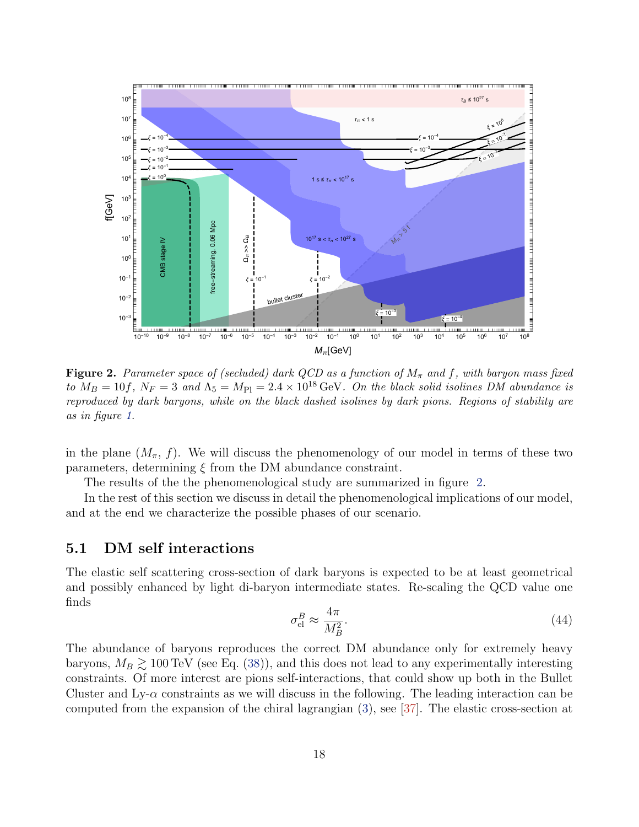<span id="page-17-1"></span>

Figure 2. Parameter space of (secluded) dark QCD as a function of  $M_{\pi}$  and f, with baryon mass fixed to  $M_B = 10f$ ,  $N_F = 3$  and  $\Lambda_5 = M_{Pl} = 2.4 \times 10^{18} \text{ GeV}$ . On the black solid isolines DM abundance is reproduced by dark baryons, while on the black dashed isolines by dark pions. Regions of stability are as in figure [1.](#page-6-1)

in the plane  $(M_\pi, f)$ . We will discuss the phenomenology of our model in terms of these two parameters, determining  $\xi$  from the DM abundance constraint.

The results of the the phenomenological study are summarized in figure [2.](#page-17-1)

In the rest of this section we discuss in detail the phenomenological implications of our model, and at the end we characterize the possible phases of our scenario.

### <span id="page-17-0"></span>5.1 DM self interactions

The elastic self scattering cross-section of dark baryons is expected to be at least geometrical and possibly enhanced by light di-baryon intermediate states. Re-scaling the QCD value one finds

$$
\sigma_{\rm el}^B \approx \frac{4\pi}{M_B^2}.\tag{44}
$$

The abundance of baryons reproduces the correct DM abundance only for extremely heavy baryons,  $M_B \gtrsim 100 \,\text{TeV}$  (see Eq. [\(38\)](#page-15-1)), and this does not lead to any experimentally interesting constraints. Of more interest are pions self-interactions, that could show up both in the Bullet Cluster and Ly- $\alpha$  constraints as we will discuss in the following. The leading interaction can be computed from the expansion of the chiral lagrangian [\(3\)](#page-3-1), see [\[37\]](#page-30-1). The elastic cross-section at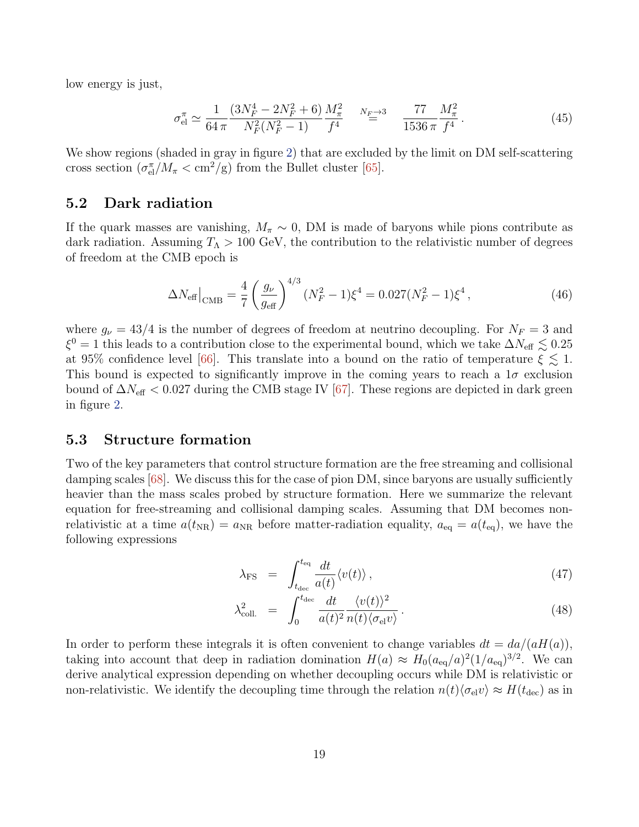low energy is just,

$$
\sigma_{\text{el}}^{\pi} \simeq \frac{1}{64 \pi} \frac{(3N_F^4 - 2N_F^2 + 6)}{N_F^2 (N_F^2 - 1)} \frac{M_\pi^2}{f^4} \simeq \frac{8 \pi}{1536 \pi} \frac{77}{f^4} \frac{M_\pi^2}{f^4}.
$$
 (45)

We show regions (shaded in gray in figure [2\)](#page-17-1) that are excluded by the limit on DM self-scattering cross section  $(\sigma_{el}^{\pi}/M_{\pi} < \text{cm}^2/\text{g})$  from the Bullet cluster [\[65\]](#page-31-13).

### <span id="page-18-0"></span>5.2 Dark radiation

If the quark masses are vanishing,  $M_{\pi} \sim 0$ , DM is made of baryons while pions contribute as dark radiation. Assuming  $T_{\Lambda} > 100 \text{ GeV}$ , the contribution to the relativistic number of degrees of freedom at the CMB epoch is

$$
\Delta N_{\text{eff}}\big|_{\text{CMB}} = \frac{4}{7} \left(\frac{g_{\nu}}{g_{\text{eff}}}\right)^{4/3} (N_F^2 - 1)\xi^4 = 0.027(N_F^2 - 1)\xi^4, \qquad (46)
$$

where  $g_{\nu} = 43/4$  is the number of degrees of freedom at neutrino decoupling. For  $N_F = 3$  and  $\xi^0 = 1$  this leads to a contribution close to the experimental bound, which we take  $\Delta N_{\text{eff}} \lesssim 0.25$ at 95% confidence level [\[66\]](#page-31-14). This translate into a bound on the ratio of temperature  $\xi \lesssim 1$ . This bound is expected to significantly improve in the coming years to reach a  $1\sigma$  exclusion bound of  $\Delta N_{\text{eff}}$  < 0.027 during the CMB stage IV [\[67\]](#page-31-15). These regions are depicted in dark green in figure [2.](#page-17-1)

### <span id="page-18-1"></span>5.3 Structure formation

Two of the key parameters that control structure formation are the free streaming and collisional damping scales [\[68\]](#page-31-16). We discuss this for the case of pion DM, since baryons are usually sufficiently heavier than the mass scales probed by structure formation. Here we summarize the relevant equation for free-streaming and collisional damping scales. Assuming that DM becomes nonrelativistic at a time  $a(t_{NR}) = a_{NR}$  before matter-radiation equality,  $a_{eq} = a(t_{eq})$ , we have the following expressions

$$
\lambda_{\rm FS} = \int_{t_{\rm dec}}^{t_{\rm eq}} \frac{dt}{a(t)} \langle v(t) \rangle , \qquad (47)
$$

$$
\lambda_{\text{coll.}}^2 = \int_0^{t_{\text{dec}}} \frac{dt}{a(t)^2} \frac{\langle v(t) \rangle^2}{n(t) \langle \sigma_{\text{el}} v \rangle}.
$$
\n(48)

In order to perform these integrals it is often convenient to change variables  $dt = da/(aH(a))$ , taking into account that deep in radiation domination  $H(a) \approx H_0(a_{\text{eq}}/a)^2(1/a_{\text{eq}})^{3/2}$ . We can derive analytical expression depending on whether decoupling occurs while DM is relativistic or non-relativistic. We identify the decoupling time through the relation  $n(t)\langle \sigma_{el} v \rangle \approx H(t_{\text{dec}})$  as in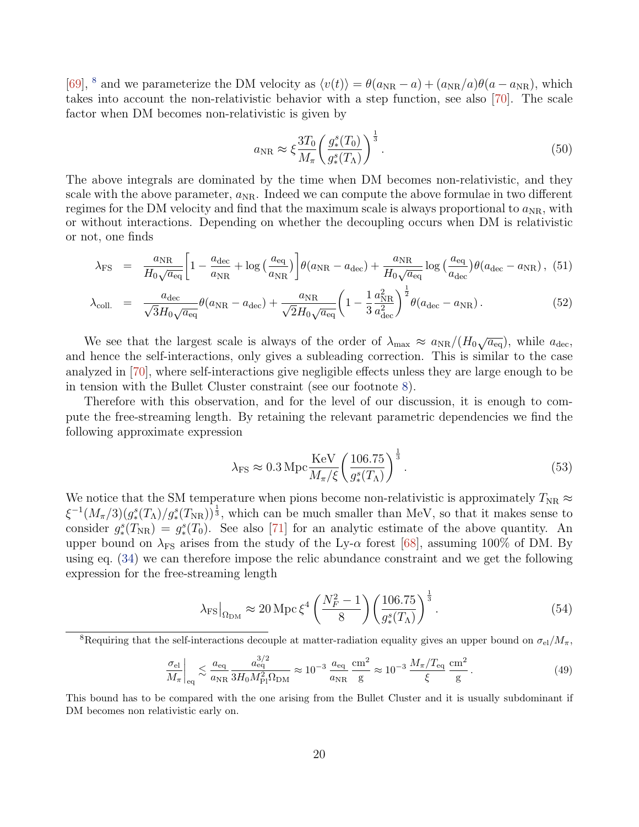[\[69\]](#page-32-0), <sup>[8](#page-19-0)</sup> and we parameterize the DM velocity as  $\langle v(t)\rangle = \theta(a_{NR} - a) + (a_{NR}/a)\theta(a - a_{NR})$ , which takes into account the non-relativistic behavior with a step function, see also [\[70\]](#page-32-1). The scale factor when DM becomes non-relativistic is given by

$$
a_{\rm NR} \approx \xi \frac{3T_0}{M_\pi} \left( \frac{g_*^s(T_0)}{g_*^s(T_\Lambda)} \right)^{\frac{1}{3}}.
$$
\n
$$
(50)
$$

The above integrals are dominated by the time when DM becomes non-relativistic, and they scale with the above parameter,  $a_{NR}$ . Indeed we can compute the above formulae in two different regimes for the DM velocity and find that the maximum scale is always proportional to  $a_{\rm NR}$ , with or without interactions. Depending on whether the decoupling occurs when DM is relativistic or not, one finds

$$
\lambda_{\rm FS} = \frac{a_{\rm NR}}{H_0 \sqrt{a_{\rm eq}}} \left[ 1 - \frac{a_{\rm dec}}{a_{\rm NR}} + \log \left( \frac{a_{\rm eq}}{a_{\rm NR}} \right) \right] \theta(a_{\rm NR} - a_{\rm dec}) + \frac{a_{\rm NR}}{H_0 \sqrt{a_{\rm eq}}} \log \left( \frac{a_{\rm eq}}{a_{\rm dec}} \right) \theta(a_{\rm dec} - a_{\rm NR}), \tag{51}
$$

$$
\lambda_{\text{coll.}} = \frac{a_{\text{dec}}}{\sqrt{3}H_0\sqrt{a_{\text{eq}}}}\theta(a_{\text{NR}} - a_{\text{dec}}) + \frac{a_{\text{NR}}}{\sqrt{2}H_0\sqrt{a_{\text{eq}}}}\left(1 - \frac{1}{3}\frac{a_{\text{NR}}^2}{a_{\text{dec}}^2}\right)^{\frac{1}{2}}\theta(a_{\text{dec}} - a_{\text{NR}}). \tag{52}
$$

We see that the largest scale is always of the order of  $\lambda_{\text{max}} \approx a_{\text{NR}}/(H_0 \sqrt{a_{\text{eq}}})$ , while  $a_{\text{dec}}$ , and hence the self-interactions, only gives a subleading correction. This is similar to the case analyzed in [\[70\]](#page-32-1), where self-interactions give negligible effects unless they are large enough to be in tension with the Bullet Cluster constraint (see our footnote [8\)](#page-19-0).

Therefore with this observation, and for the level of our discussion, it is enough to compute the free-streaming length. By retaining the relevant parametric dependencies we find the following approximate expression

$$
\lambda_{\rm FS} \approx 0.3 \, \text{Mpc} \frac{\text{KeV}}{M_{\pi}/\xi} \left(\frac{106.75}{g_*^s(T_\Lambda)}\right)^{\frac{1}{3}}.
$$
\n
$$
(53)
$$

We notice that the SM temperature when pions become non-relativistic is approximately  $T_{\text{NR}} \approx$  $\xi^{-1}(M_{\pi}/3)(g_{*}^{s}(T_{\Lambda})/g_{*}^{s}(T_{\rm NR}))^{\frac{1}{3}}$ , which can be much smaller than MeV, so that it makes sense to consider  $g^s_*(T_{\rm NR}) = g^s_*(T_0)$ . See also [\[71\]](#page-32-2) for an analytic estimate of the above quantity. An upper bound on  $\lambda_{FS}$  arises from the study of the Ly- $\alpha$  forest [\[68\]](#page-31-16), assuming 100% of DM. By using eq. [\(34\)](#page-14-2) we can therefore impose the relic abundance constraint and we get the following expression for the free-streaming length

$$
\lambda_{\rm FS}|_{\Omega_{\rm DM}} \approx 20 \,\text{Mpc} \,\xi^4 \left(\frac{N_F^2 - 1}{8}\right) \left(\frac{106.75}{g_*^s(T_\Lambda)}\right)^{\frac{1}{3}}.\tag{54}
$$

$$
\frac{\sigma_{\rm el}}{M_{\pi}}\bigg|_{\rm eq} \lesssim \frac{a_{\rm eq}}{a_{\rm NR}} \frac{a_{\rm eq}^{3/2}}{3H_0 M_{\rm Pl}^2 \Omega_{\rm DM}} \approx 10^{-3} \frac{a_{\rm eq}}{a_{\rm NR}} \frac{\rm cm^2}{\rm g} \approx 10^{-3} \frac{M_{\pi}/T_{\rm eq}}{\xi} \frac{\rm cm^2}{\rm g} \,. \tag{49}
$$

This bound has to be compared with the one arising from the Bullet Cluster and it is usually subdominant if DM becomes non relativistic early on.

<span id="page-19-0"></span><sup>&</sup>lt;sup>8</sup>Requiring that the self-interactions decouple at matter-radiation equality gives an upper bound on  $\sigma_{el}/M_{\pi}$ ,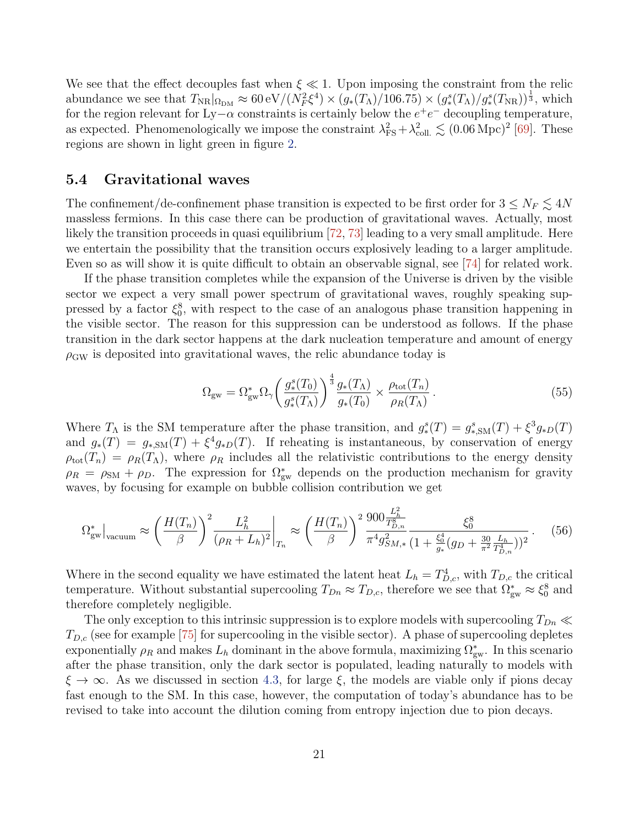We see that the effect decouples fast when  $\xi \ll 1$ . Upon imposing the constraint from the relic abundance we see that  $T_{\rm NR}|_{\Omega_{\rm DM}} \approx 60 \,\text{eV}/(\dot{N}_F^2 \xi^4) \times (g_*(T_\Lambda)/106.75) \times (g_*^s(T_\Lambda)/g_*^s(T_{\rm NR}))^{\frac{1}{3}}$ , which for the region relevant for Ly– $\alpha$  constraints is certainly below the  $e^+e^-$  decoupling temperature, as expected. Phenomenologically we impose the constraint  $\lambda_{FS}^2 + \lambda_{coll.}^2 \leq (0.06 \,\text{Mpc})^2$  [\[69\]](#page-32-0). These regions are shown in light green in figure [2.](#page-17-1)

### <span id="page-20-0"></span>5.4 Gravitational waves

The confinement/de-confinement phase transition is expected to be first order for  $3 \le N_F \lesssim 4N$ massless fermions. In this case there can be production of gravitational waves. Actually, most likely the transition proceeds in quasi equilibrium [\[72,](#page-32-3) [73\]](#page-32-4) leading to a very small amplitude. Here we entertain the possibility that the transition occurs explosively leading to a larger amplitude. Even so as will show it is quite difficult to obtain an observable signal, see [\[74\]](#page-32-5) for related work.

If the phase transition completes while the expansion of the Universe is driven by the visible sector we expect a very small power spectrum of gravitational waves, roughly speaking suppressed by a factor  $\xi_0^8$ , with respect to the case of an analogous phase transition happening in the visible sector. The reason for this suppression can be understood as follows. If the phase transition in the dark sector happens at the dark nucleation temperature and amount of energy  $\rho_{\rm GW}$  is deposited into gravitational waves, the relic abundance today is

<span id="page-20-1"></span>
$$
\Omega_{\rm gw} = \Omega_{\rm gw}^* \Omega_{\gamma} \left( \frac{g_*^s(T_0)}{g_*^s(T_\Lambda)} \right)^{\frac{4}{3}} \frac{g_*(T_\Lambda)}{g_*(T_0)} \times \frac{\rho_{\rm tot}(T_n)}{\rho_R(T_\Lambda)}.
$$
\n(55)

Where  $T_{\Lambda}$  is the SM temperature after the phase transition, and  $g^s_*(T) = g^s_{*,SM}(T) + \xi^3 g_{*D}(T)$ and  $g_*(T) = g_{*,SM}(T) + \xi^4 g_{*D}(T)$ . If reheating is instantaneous, by conservation of energy  $\rho_{\text{tot}}(T_n) = \rho_R(T_\Lambda)$ , where  $\rho_R$  includes all the relativistic contributions to the energy density  $\rho_R = \rho_{\rm SM} + \rho_D$ . The expression for  $\Omega_{\rm gw}^*$  depends on the production mechanism for gravity waves, by focusing for example on bubble collision contribution we get

$$
\Omega_{\text{gw}}^*|_{\text{vacuum}} \approx \left(\frac{H(T_n)}{\beta}\right)^2 \frac{L_h^2}{(\rho_R + L_h)^2} \bigg|_{T_n} \approx \left(\frac{H(T_n)}{\beta}\right)^2 \frac{900 \frac{L_h^2}{T_{D,n}^8}}{\pi^4 g_{SM,*}^2} \frac{\xi_0^8}{(1 + \frac{\xi_0^4}{g_*} (g_D + \frac{30}{\pi^2} \frac{L_h}{T_{D,n}^4}))^2} \,. \tag{56}
$$

Where in the second equality we have estimated the latent heat  $L_h = T_{D,c}^4$ , with  $T_{D,c}$  the critical temperature. Without substantial supercooling  $T_{Dn} \approx T_{D,c}$ , therefore we see that  $\Omega_{gw}^* \approx \xi_0^8$  and therefore completely negligible.

The only exception to this intrinsic suppression is to explore models with supercooling  $T_{Dn} \ll$  $T_{D,c}$  (see for example [\[75\]](#page-32-6) for supercooling in the visible sector). A phase of supercooling depletes exponentially  $\rho_R$  and makes  $L_h$  dominant in the above formula, maximizing  $\Omega_{gw}^*$ . In this scenario after the phase transition, only the dark sector is populated, leading naturally to models with  $\xi \to \infty$ . As we discussed in section [4.3,](#page-13-0) for large  $\xi$ , the models are viable only if pions decay fast enough to the SM. In this case, however, the computation of today's abundance has to be revised to take into account the dilution coming from entropy injection due to pion decays.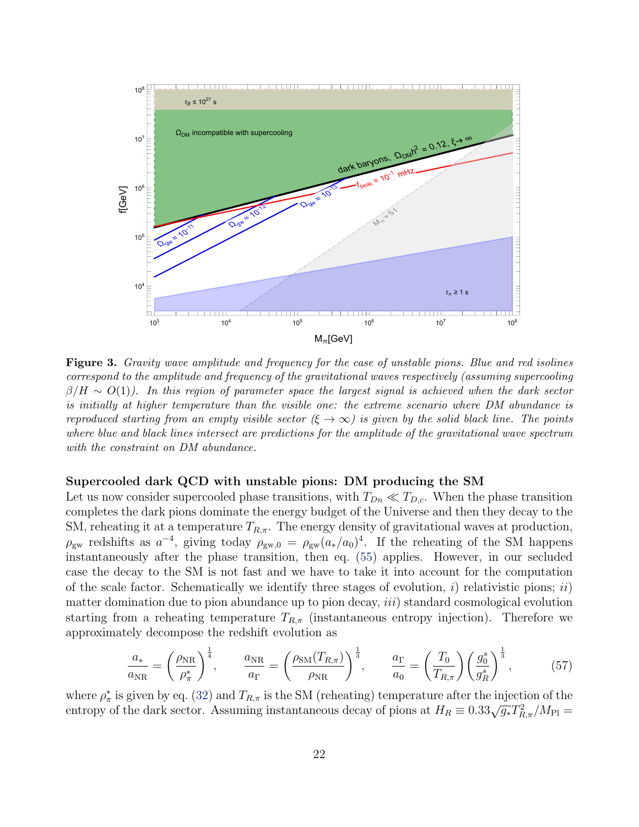<span id="page-21-0"></span>

Figure 3. Gravity wave amplitude and frequency for the case of unstable pions. Blue and red isolines correspond to the amplitude and frequency of the gravitational waves respectively (assuming supercooling  $\beta/H \sim O(1)$ ). In this region of parameter space the largest signal is achieved when the dark sector is initially at higher temperature than the visible one: the extreme scenario where DM abundance is reproduced starting from an empty visible sector  $(\xi \to \infty)$  is given by the solid black line. The points where blue and black lines intersect are predictions for the amplitude of the gravitational wave spectrum with the constraint on DM abundance.

#### Supercooled dark QCD with unstable pions: DM producing the SM

Let us now consider supercooled phase transitions, with  $T_{Dn} \ll T_{D,c}$ . When the phase transition completes the dark pions dominate the energy budget of the Universe and then they decay to the SM, reheating it at a temperature  $T_{R,\pi}$ . The energy density of gravitational waves at production,  $\rho_{\rm gw}$  redshifts as  $a^{-4}$ , giving today  $\rho_{\rm gw,0} = \rho_{\rm gw}(a_*/a_0)^4$ . If the reheating of the SM happens instantaneously after the phase transition, then eq. [\(55\)](#page-20-1) applies. However, in our secluded case the decay to the SM is not fast and we have to take it into account for the computation of the scale factor. Schematically we identify three stages of evolution, i) relativistic pions; ii) matter domination due to pion abundance up to pion decay,  $iii$ ) standard cosmological evolution starting from a reheating temperature  $T_{R,\pi}$  (instantaneous entropy injection). Therefore we approximately decompose the redshift evolution as

$$
\frac{a_*}{a_{\rm NR}} = \left(\frac{\rho_{\rm NR}}{\rho_\pi^*}\right)^{\frac{1}{4}}, \qquad \frac{a_{\rm NR}}{a_{\Gamma}} = \left(\frac{\rho_{\rm SM}(T_{R,\pi})}{\rho_{\rm NR}}\right)^{\frac{1}{3}}, \qquad \frac{a_{\Gamma}}{a_0} = \left(\frac{T_0}{T_{R,\pi}}\right) \left(\frac{g_0^s}{g_R^s}\right)^{\frac{1}{3}}, \tag{57}
$$

where  $\rho^*_{\pi}$  is given by eq. [\(32\)](#page-14-3) and  $T_{R,\pi}$  is the SM (reheating) temperature after the injection of the where  $p_{\pi}$  is given by eq. (52) and  $T_{R,\pi}$  is the bM (reneating) temperature after the injection of the entropy of the dark sector. Assuming instantaneous decay of pions at  $H_R \equiv 0.33\sqrt{g_*}T_{R,\pi}^2/M_{\text{Pl}} =$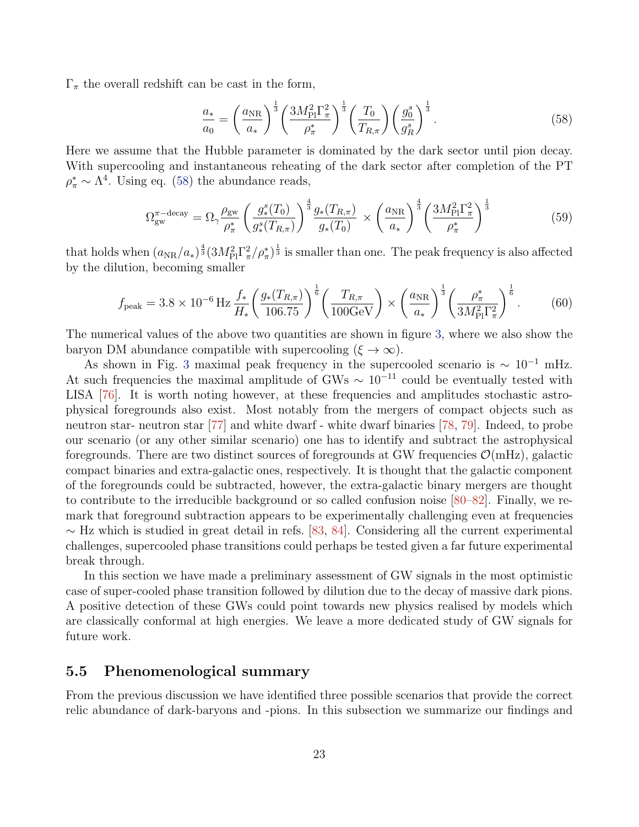$\Gamma_{\pi}$  the overall redshift can be cast in the form,

<span id="page-22-1"></span>
$$
\frac{a_{*}}{a_{0}} = \left(\frac{a_{\rm NR}}{a_{*}}\right)^{\frac{1}{3}} \left(\frac{3M_{\rm Pl}^{2}\Gamma_{\pi}^{2}}{\rho_{\pi}^{*}}\right)^{\frac{1}{3}} \left(\frac{T_{0}}{T_{R,\pi}}\right) \left(\frac{g_{0}^{s}}{g_{R}^{s}}\right)^{\frac{1}{3}}.
$$
\n(58)

Here we assume that the Hubble parameter is dominated by the dark sector until pion decay. With supercooling and instantaneous reheating of the dark sector after completion of the PT  $\rho^*_{\pi} \sim \Lambda^4$ . Using eq. [\(58\)](#page-22-1) the abundance reads,

$$
\Omega_{\rm gw}^{\pi-\rm decay} = \Omega_{\gamma} \frac{\rho_{\rm gw}}{\rho_{\pi}^*} \left(\frac{g_*^s(T_0)}{g_*^s(T_{R,\pi})}\right)^{\frac{4}{3}} \frac{g_*(T_{R,\pi})}{g_*(T_0)} \times \left(\frac{a_{\rm NR}}{a_*}\right)^{\frac{4}{3}} \left(\frac{3M_{\rm Pl}^2 \Gamma_{\pi}^2}{\rho_{\pi}^*}\right)^{\frac{1}{3}} \tag{59}
$$

that holds when  $(a_{NR}/a_*)^{\frac{4}{3}}(3M_{\rm Pl}^2\Gamma_\pi^2/\rho_\pi^*)^{\frac{1}{3}}$  is smaller than one. The peak frequency is also affected by the dilution, becoming smaller

$$
f_{\text{peak}} = 3.8 \times 10^{-6} \,\text{Hz} \frac{f_*}{H_*} \left(\frac{g_*(T_{R,\pi})}{106.75}\right)^{\frac{1}{6}} \left(\frac{T_{R,\pi}}{100 \,\text{GeV}}\right) \times \left(\frac{a_{\text{NR}}}{a_*}\right)^{\frac{1}{3}} \left(\frac{\rho_\pi^*}{3M_{\text{Pl}}^2 \Gamma_\pi^2}\right)^{\frac{1}{6}}.\tag{60}
$$

The numerical values of the above two quantities are shown in figure [3,](#page-21-0) where we also show the baryon DM abundance compatible with supercooling  $(\xi \to \infty)$ .

As shown in Fig. [3](#page-21-0) maximal peak frequency in the supercooled scenario is  $\sim 10^{-1}$  mHz. At such frequencies the maximal amplitude of GWs  $\sim 10^{-11}$  could be eventually tested with LISA [\[76\]](#page-32-7). It is worth noting however, at these frequencies and amplitudes stochastic astrophysical foregrounds also exist. Most notably from the mergers of compact objects such as neutron star- neutron star [\[77\]](#page-32-8) and white dwarf - white dwarf binaries [\[78,](#page-32-9) [79\]](#page-32-10). Indeed, to probe our scenario (or any other similar scenario) one has to identify and subtract the astrophysical foregrounds. There are two distinct sources of foregrounds at GW frequencies  $\mathcal{O}(mHz)$ , galactic compact binaries and extra-galactic ones, respectively. It is thought that the galactic component of the foregrounds could be subtracted, however, the extra-galactic binary mergers are thought to contribute to the irreducible background or so called confusion noise [\[80–](#page-32-11)[82\]](#page-32-12). Finally, we remark that foreground subtraction appears to be experimentally challenging even at frequencies  $\sim$  Hz which is studied in great detail in refs. [\[83,](#page-32-13) [84\]](#page-33-0). Considering all the current experimental challenges, supercooled phase transitions could perhaps be tested given a far future experimental break through.

In this section we have made a preliminary assessment of GW signals in the most optimistic case of super-cooled phase transition followed by dilution due to the decay of massive dark pions. A positive detection of these GWs could point towards new physics realised by models which are classically conformal at high energies. We leave a more dedicated study of GW signals for future work.

# <span id="page-22-0"></span>5.5 Phenomenological summary

From the previous discussion we have identified three possible scenarios that provide the correct relic abundance of dark-baryons and -pions. In this subsection we summarize our findings and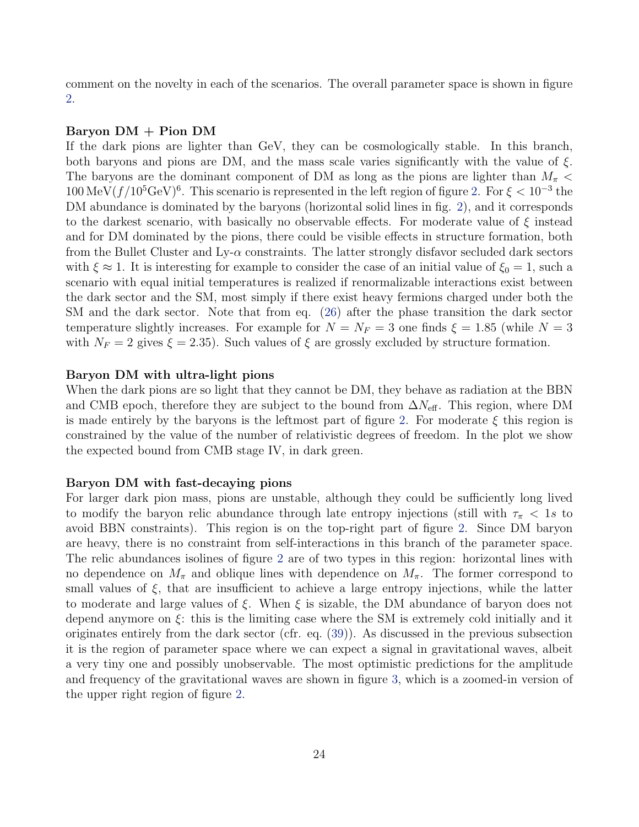comment on the novelty in each of the scenarios. The overall parameter space is shown in figure [2.](#page-17-1)

#### Baryon DM + Pion DM

If the dark pions are lighter than GeV, they can be cosmologically stable. In this branch, both baryons and pions are DM, and the mass scale varies significantly with the value of  $\xi$ . The baryons are the dominant component of DM as long as the pions are lighter than  $M_{\pi}$  <  $100 \,\text{MeV}(f/10^5 \text{GeV})^6$ . This scenario is represented in the left region of figure [2.](#page-17-1) For  $\xi < 10^{-3}$  the DM abundance is dominated by the baryons (horizontal solid lines in fig. [2\)](#page-17-1), and it corresponds to the darkest scenario, with basically no observable effects. For moderate value of  $\xi$  instead and for DM dominated by the pions, there could be visible effects in structure formation, both from the Bullet Cluster and  $Ly-\alpha$  constraints. The latter strongly disfavor secluded dark sectors with  $\xi \approx 1$ . It is interesting for example to consider the case of an initial value of  $\xi_0 = 1$ , such a scenario with equal initial temperatures is realized if renormalizable interactions exist between the dark sector and the SM, most simply if there exist heavy fermions charged under both the SM and the dark sector. Note that from eq. [\(26\)](#page-12-2) after the phase transition the dark sector temperature slightly increases. For example for  $N = N_F = 3$  one finds  $\xi = 1.85$  (while  $N = 3$ with  $N_F = 2$  gives  $\xi = 2.35$ . Such values of  $\xi$  are grossly excluded by structure formation.

#### Baryon DM with ultra-light pions

When the dark pions are so light that they cannot be DM, they behave as radiation at the BBN and CMB epoch, therefore they are subject to the bound from  $\Delta N_{\text{eff}}$ . This region, where DM is made entirely by the baryons is the leftmost part of figure [2.](#page-17-1) For moderate  $\xi$  this region is constrained by the value of the number of relativistic degrees of freedom. In the plot we show the expected bound from CMB stage IV, in dark green.

#### Baryon DM with fast-decaying pions

For larger dark pion mass, pions are unstable, although they could be sufficiently long lived to modify the baryon relic abundance through late entropy injections (still with  $\tau_{\pi}$  < 1s to avoid BBN constraints). This region is on the top-right part of figure [2.](#page-17-1) Since DM baryon are heavy, there is no constraint from self-interactions in this branch of the parameter space. The relic abundances isolines of figure [2](#page-17-1) are of two types in this region: horizontal lines with no dependence on  $M_{\pi}$  and oblique lines with dependence on  $M_{\pi}$ . The former correspond to small values of  $\xi$ , that are insufficient to achieve a large entropy injections, while the latter to moderate and large values of  $\xi$ . When  $\xi$  is sizable, the DM abundance of baryon does not depend anymore on  $\xi$ : this is the limiting case where the SM is extremely cold initially and it originates entirely from the dark sector (cfr. eq. [\(39\)](#page-15-2)). As discussed in the previous subsection it is the region of parameter space where we can expect a signal in gravitational waves, albeit a very tiny one and possibly unobservable. The most optimistic predictions for the amplitude and frequency of the gravitational waves are shown in figure [3,](#page-21-0) which is a zoomed-in version of the upper right region of figure [2.](#page-17-1)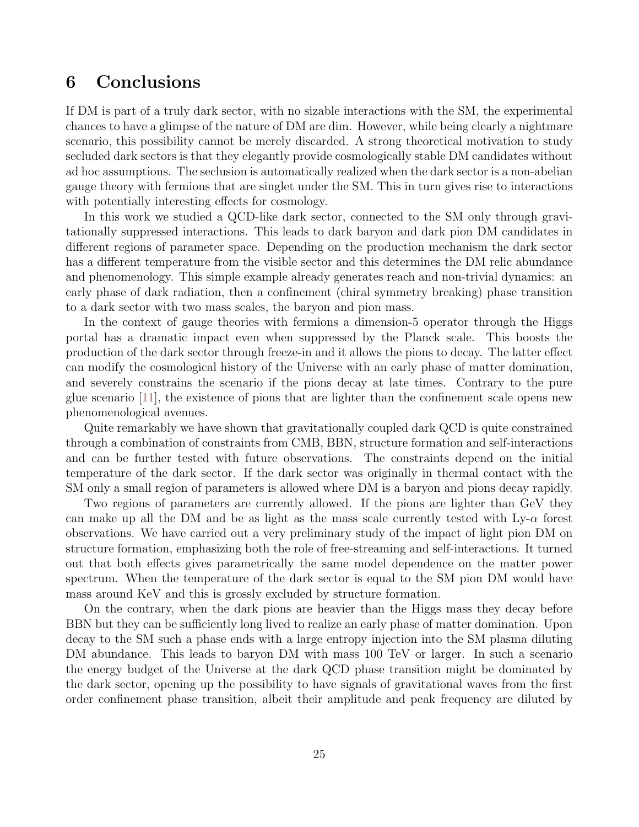# <span id="page-24-0"></span>6 Conclusions

If DM is part of a truly dark sector, with no sizable interactions with the SM, the experimental chances to have a glimpse of the nature of DM are dim. However, while being clearly a nightmare scenario, this possibility cannot be merely discarded. A strong theoretical motivation to study secluded dark sectors is that they elegantly provide cosmologically stable DM candidates without ad hoc assumptions. The seclusion is automatically realized when the dark sector is a non-abelian gauge theory with fermions that are singlet under the SM. This in turn gives rise to interactions with potentially interesting effects for cosmology.

In this work we studied a QCD-like dark sector, connected to the SM only through gravitationally suppressed interactions. This leads to dark baryon and dark pion DM candidates in different regions of parameter space. Depending on the production mechanism the dark sector has a different temperature from the visible sector and this determines the DM relic abundance and phenomenology. This simple example already generates reach and non-trivial dynamics: an early phase of dark radiation, then a confinement (chiral symmetry breaking) phase transition to a dark sector with two mass scales, the baryon and pion mass.

In the context of gauge theories with fermions a dimension-5 operator through the Higgs portal has a dramatic impact even when suppressed by the Planck scale. This boosts the production of the dark sector through freeze-in and it allows the pions to decay. The latter effect can modify the cosmological history of the Universe with an early phase of matter domination, and severely constrains the scenario if the pions decay at late times. Contrary to the pure glue scenario [\[11\]](#page-28-4), the existence of pions that are lighter than the confinement scale opens new phenomenological avenues.

Quite remarkably we have shown that gravitationally coupled dark QCD is quite constrained through a combination of constraints from CMB, BBN, structure formation and self-interactions and can be further tested with future observations. The constraints depend on the initial temperature of the dark sector. If the dark sector was originally in thermal contact with the SM only a small region of parameters is allowed where DM is a baryon and pions decay rapidly.

Two regions of parameters are currently allowed. If the pions are lighter than GeV they can make up all the DM and be as light as the mass scale currently tested with  $Ly-\alpha$  forest observations. We have carried out a very preliminary study of the impact of light pion DM on structure formation, emphasizing both the role of free-streaming and self-interactions. It turned out that both effects gives parametrically the same model dependence on the matter power spectrum. When the temperature of the dark sector is equal to the SM pion DM would have mass around KeV and this is grossly excluded by structure formation.

On the contrary, when the dark pions are heavier than the Higgs mass they decay before BBN but they can be sufficiently long lived to realize an early phase of matter domination. Upon decay to the SM such a phase ends with a large entropy injection into the SM plasma diluting DM abundance. This leads to baryon DM with mass 100 TeV or larger. In such a scenario the energy budget of the Universe at the dark QCD phase transition might be dominated by the dark sector, opening up the possibility to have signals of gravitational waves from the first order confinement phase transition, albeit their amplitude and peak frequency are diluted by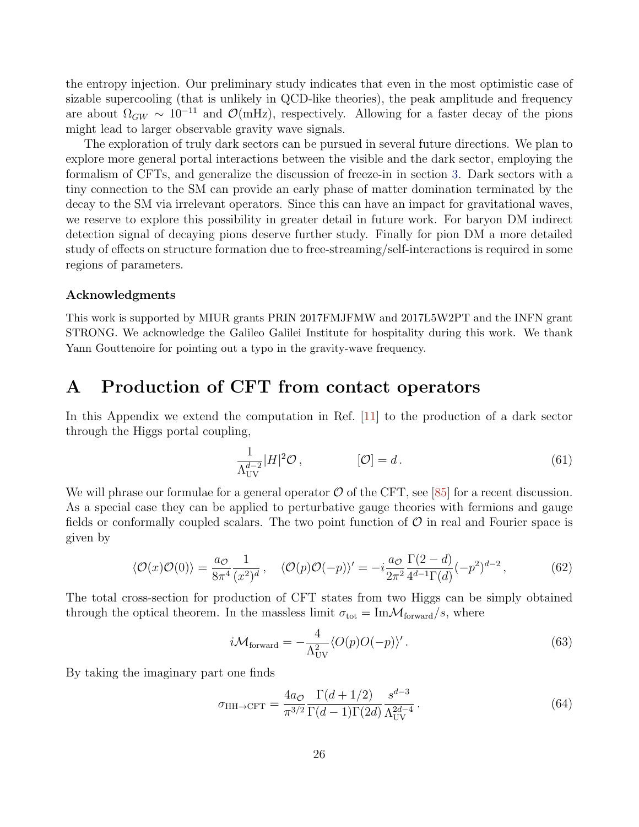the entropy injection. Our preliminary study indicates that even in the most optimistic case of sizable supercooling (that is unlikely in QCD-like theories), the peak amplitude and frequency are about  $\Omega_{GW} \sim 10^{-11}$  and  $\mathcal{O}(mHz)$ , respectively. Allowing for a faster decay of the pions might lead to larger observable gravity wave signals.

The exploration of truly dark sectors can be pursued in several future directions. We plan to explore more general portal interactions between the visible and the dark sector, employing the formalism of CFTs, and generalize the discussion of freeze-in in section [3.](#page-5-0) Dark sectors with a tiny connection to the SM can provide an early phase of matter domination terminated by the decay to the SM via irrelevant operators. Since this can have an impact for gravitational waves, we reserve to explore this possibility in greater detail in future work. For baryon DM indirect detection signal of decaying pions deserve further study. Finally for pion DM a more detailed study of effects on structure formation due to free-streaming/self-interactions is required in some regions of parameters.

#### Acknowledgments

This work is supported by MIUR grants PRIN 2017FMJFMW and 2017L5W2PT and the INFN grant STRONG. We acknowledge the Galileo Galilei Institute for hospitality during this work. We thank Yann Gouttenoire for pointing out a typo in the gravity-wave frequency.

# <span id="page-25-0"></span>A Production of CFT from contact operators

In this Appendix we extend the computation in Ref. [\[11\]](#page-28-4) to the production of a dark sector through the Higgs portal coupling,

$$
\frac{1}{\Lambda_{\text{UV}}^{d-2}} |H|^2 \mathcal{O}, \qquad [\mathcal{O}] = d. \qquad (61)
$$

We will phrase our formulae for a general operator  $\mathcal O$  of the CFT, see [\[85\]](#page-33-1) for a recent discussion. As a special case they can be applied to perturbative gauge theories with fermions and gauge fields or conformally coupled scalars. The two point function of  $\mathcal O$  in real and Fourier space is given by

$$
\langle \mathcal{O}(x)\mathcal{O}(0)\rangle = \frac{a_{\mathcal{O}}}{8\pi^4} \frac{1}{(x^2)^d}, \quad \langle \mathcal{O}(p)\mathcal{O}(-p)\rangle' = -i\frac{a_{\mathcal{O}}}{2\pi^2} \frac{\Gamma(2-d)}{4^{d-1}\Gamma(d)}(-p^2)^{d-2},\tag{62}
$$

The total cross-section for production of CFT states from two Higgs can be simply obtained through the optical theorem. In the massless limit  $\sigma_{\text{tot}} = \text{Im} \mathcal{M}_{\text{forward}}/s$ , where

$$
i\mathcal{M}_{\text{forward}} = -\frac{4}{\Lambda_{\text{UV}}^2} \langle O(p)O(-p) \rangle'.
$$
 (63)

By taking the imaginary part one finds

<span id="page-25-1"></span>
$$
\sigma_{\text{HH}\to\text{CFT}} = \frac{4a_{\mathcal{O}}}{\pi^{3/2}} \frac{\Gamma(d+1/2)}{\Gamma(d-1)\Gamma(2d)} \frac{s^{d-3}}{\Lambda_{\text{UV}}^{2d-4}}.
$$
\n(64)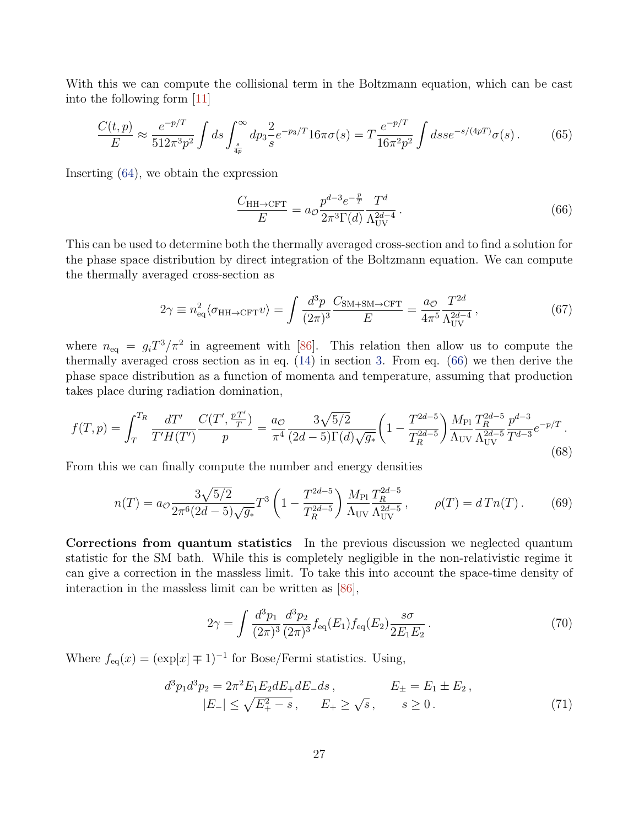With this we can compute the collisional term in the Boltzmann equation, which can be cast into the following form [\[11\]](#page-28-4)

$$
\frac{C(t,p)}{E} \approx \frac{e^{-p/T}}{512\pi^3 p^2} \int ds \int_{\frac{s}{4p}}^{\infty} dp_3 \frac{2}{s} e^{-p_3/T} 16\pi \sigma(s) = T \frac{e^{-p/T}}{16\pi^2 p^2} \int ds s e^{-s/(4pT)} \sigma(s).
$$
 (65)

Inserting [\(64\)](#page-25-1), we obtain the expression

<span id="page-26-0"></span>
$$
\frac{C_{\text{HH}\to\text{CFT}}}{E} = a_{\mathcal{O}} \frac{p^{d-3} e^{-\frac{p}{T}}}{2\pi^3 \Gamma(d)} \frac{T^d}{\Lambda_{\text{UV}}^{2d-4}}.
$$
\n(66)

This can be used to determine both the thermally averaged cross-section and to find a solution for the phase space distribution by direct integration of the Boltzmann equation. We can compute the thermally averaged cross-section as

$$
2\gamma \equiv n_{\text{eq}}^2 \langle \sigma_{\text{HH}\to\text{CFT}} v \rangle = \int \frac{d^3 p}{(2\pi)^3} \frac{C_{\text{SM}+\text{SM}\to\text{CFT}}}{E} = \frac{a_{\mathcal{O}}}{4\pi^5} \frac{T^{2d}}{\Lambda_{\text{UV}}^{2d-4}} ,\tag{67}
$$

where  $n_{\text{eq}} = g_i T^3 / \pi^2$  in agreement with [\[86\]](#page-33-2). This relation then allow us to compute the thermally averaged cross section as in eq. [\(14\)](#page-8-2) in section [3.](#page-5-0) From eq. [\(66\)](#page-26-0) we then derive the phase space distribution as a function of momenta and temperature, assuming that production takes place during radiation domination,

$$
f(T,p) = \int_{T}^{T_R} \frac{dT'}{T'H(T')} \frac{C(T', \frac{pT'}{T})}{p} = \frac{a_{\mathcal{O}}}{\pi^4} \frac{3\sqrt{5/2}}{(2d-5)\Gamma(d)\sqrt{g_*}} \left(1 - \frac{T^{2d-5}}{T_R^{2d-5}}\right) \frac{M_{\text{Pl}}}{\Lambda_{\text{UV}}} \frac{T_R^{2d-5}}{\Lambda_{\text{UV}}} \frac{p^{d-3}}{T^{d-3}} e^{-p/T} \,. \tag{68}
$$

From this we can finally compute the number and energy densities

$$
n(T) = a_{\mathcal{O}} \frac{3\sqrt{5/2}}{2\pi^6 (2d-5)\sqrt{g_*}} T^3 \left(1 - \frac{T^{2d-5}}{T_R^{2d-5}}\right) \frac{M_{\text{Pl}}}{\Lambda_{\text{UV}}} \frac{T_R^{2d-5}}{\Lambda_{\text{UV}}} \,, \qquad \rho(T) = d \, T n(T) \,. \tag{69}
$$

Corrections from quantum statistics In the previous discussion we neglected quantum statistic for the SM bath. While this is completely negligible in the non-relativistic regime it can give a correction in the massless limit. To take this into account the space-time density of interaction in the massless limit can be written as [\[86\]](#page-33-2),

$$
2\gamma = \int \frac{d^3 p_1}{(2\pi)^3} \frac{d^3 p_2}{(2\pi)^3} f_{\text{eq}}(E_1) f_{\text{eq}}(E_2) \frac{s\sigma}{2E_1 E_2} \,. \tag{70}
$$

Where  $f_{eq}(x) = (\exp[x] \mp 1)^{-1}$  for Bose/Fermi statistics. Using,

$$
d^3 p_1 d^3 p_2 = 2\pi^2 E_1 E_2 dE_+ dE_- ds, \qquad E_{\pm} = E_1 \pm E_2, |E_-| \le \sqrt{E_+^2 - s}, \qquad E_+ \ge \sqrt{s}, \qquad s \ge 0.
$$
 (71)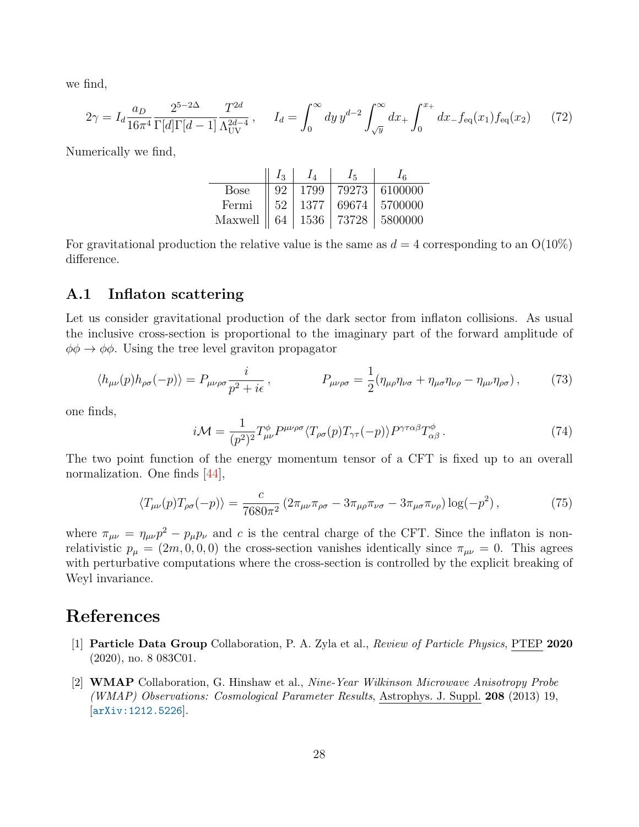we find,

$$
2\gamma = I_d \frac{a_D}{16\pi^4} \frac{2^{5-2\Delta}}{\Gamma[d]\Gamma[d-1]} \frac{T^{2d}}{\Lambda_{\text{UV}}^{2d-4}}, \qquad I_d = \int_0^\infty dy \, y^{d-2} \int_{\sqrt{y}}^\infty dx_+ \int_0^{x_+} dx_- f_{\text{eq}}(x_1) f_{\text{eq}}(x_2) \tag{72}
$$

Numerically we find,

|                              | $I_3$ |           |       |           |
|------------------------------|-------|-----------|-------|-----------|
| Bose                         | -92   | 1799      | 79273 | 6100000   |
| Fermi                        |       | 52   1377 | 69674 | 5700000   |
| Maxwell    64   1536   73728 |       |           |       | l 5800000 |

For gravitational production the relative value is the same as  $d = 4$  corresponding to an  $O(10\%)$ difference.

## <span id="page-27-0"></span>A.1 Inflaton scattering

Let us consider gravitational production of the dark sector from inflaton collisions. As usual the inclusive cross-section is proportional to the imaginary part of the forward amplitude of  $\phi \phi \rightarrow \phi \phi$ . Using the tree level graviton propagator

$$
\langle h_{\mu\nu}(p)h_{\rho\sigma}(-p)\rangle = P_{\mu\nu\rho\sigma}\frac{i}{p^2 + i\epsilon}, \qquad P_{\mu\nu\rho\sigma} = \frac{1}{2}(\eta_{\mu\rho}\eta_{\nu\sigma} + \eta_{\mu\sigma}\eta_{\nu\rho} - \eta_{\mu\nu}\eta_{\rho\sigma}), \qquad (73)
$$

one finds,

$$
i\mathcal{M} = \frac{1}{(p^2)^2} T^{\phi}_{\mu\nu} P^{\mu\nu\rho\sigma} \langle T_{\rho\sigma}(p) T_{\gamma\tau}(-p) \rangle P^{\gamma\tau\alpha\beta} T^{\phi}_{\alpha\beta} \,. \tag{74}
$$

The two point function of the energy momentum tensor of a CFT is fixed up to an overall normalization. One finds [\[44\]](#page-30-7),

$$
\langle T_{\mu\nu}(p)T_{\rho\sigma}(-p)\rangle = \frac{c}{7680\pi^2} \left(2\pi_{\mu\nu}\pi_{\rho\sigma} - 3\pi_{\mu\rho}\pi_{\nu\sigma} - 3\pi_{\mu\sigma}\pi_{\nu\rho}\right) \log(-p^2) \,,\tag{75}
$$

where  $\pi_{\mu\nu} = \eta_{\mu\nu}p^2 - p_{\mu}p_{\nu}$  and c is the central charge of the CFT. Since the inflaton is nonrelativistic  $p_{\mu} = (2m, 0, 0, 0)$  the cross-section vanishes identically since  $\pi_{\mu\nu} = 0$ . This agrees with perturbative computations where the cross-section is controlled by the explicit breaking of Weyl invariance.

# References

- <span id="page-27-1"></span>[1] Particle Data Group Collaboration, P. A. Zyla et al., Review of Particle Physics, PTEP 2020 (2020), no. 8 083C01.
- <span id="page-27-2"></span>[2] WMAP Collaboration, G. Hinshaw et al., Nine-Year Wilkinson Microwave Anisotropy Probe (WMAP) Observations: Cosmological Parameter Results, Astrophys. J. Suppl. 208 (2013) 19, [[arXiv:1212.5226](http://arxiv.org/abs/1212.5226)].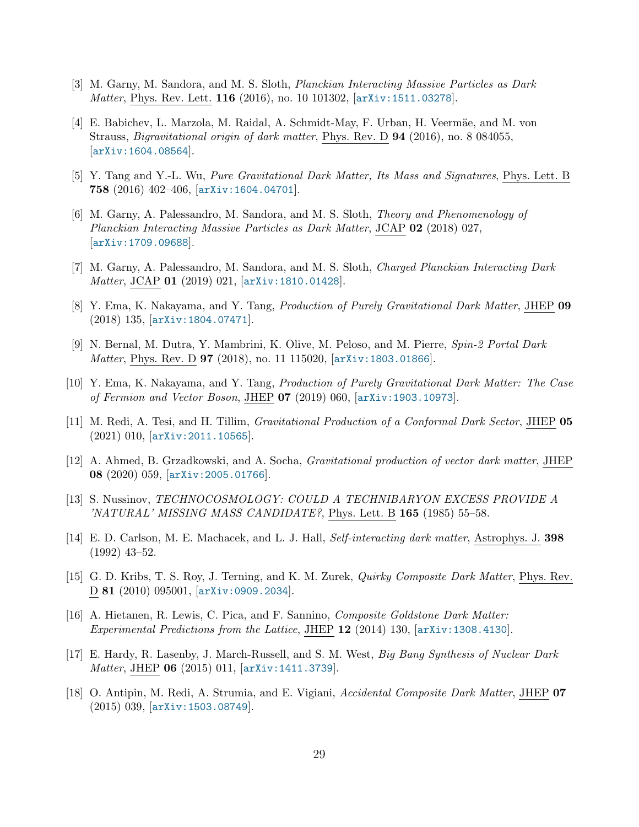- <span id="page-28-0"></span>[3] M. Garny, M. Sandora, and M. S. Sloth, Planckian Interacting Massive Particles as Dark Matter, Phys. Rev. Lett. **116** (2016), no. 10 101302, [[arXiv:1511.03278](http://arxiv.org/abs/1511.03278)].
- [4] E. Babichev, L. Marzola, M. Raidal, A. Schmidt-May, F. Urban, H. Veermäe, and M. von Strauss, Bigravitational origin of dark matter, Phys. Rev. D 94 (2016), no. 8 084055, [[arXiv:1604.08564](http://arxiv.org/abs/1604.08564)].
- <span id="page-28-7"></span>[5] Y. Tang and Y.-L. Wu, Pure Gravitational Dark Matter, Its Mass and Signatures, Phys. Lett. B 758 (2016) 402–406, [[arXiv:1604.04701](http://arxiv.org/abs/1604.04701)].
- <span id="page-28-5"></span>[6] M. Garny, A. Palessandro, M. Sandora, and M. S. Sloth, Theory and Phenomenology of Planckian Interacting Massive Particles as Dark Matter, JCAP 02 (2018) 027, [[arXiv:1709.09688](http://arxiv.org/abs/1709.09688)].
- [7] M. Garny, A. Palessandro, M. Sandora, and M. S. Sloth, Charged Planckian Interacting Dark Matter, JCAP 01 (2019) 021, [[arXiv:1810.01428](http://arxiv.org/abs/1810.01428)].
- <span id="page-28-6"></span>[8] Y. Ema, K. Nakayama, and Y. Tang, Production of Purely Gravitational Dark Matter, JHEP 09 (2018) 135, [[arXiv:1804.07471](http://arxiv.org/abs/1804.07471)].
- [9] N. Bernal, M. Dutra, Y. Mambrini, K. Olive, M. Peloso, and M. Pierre, Spin-2 Portal Dark Matter, Phys. Rev. D **97** (2018), no. 11 115020,  $\alpha$ <sup>rx</sup>iv:1803.01866.
- <span id="page-28-8"></span>[10] Y. Ema, K. Nakayama, and Y. Tang, Production of Purely Gravitational Dark Matter: The Case of Fermion and Vector Boson, JHEP 07 (2019) 060, [[arXiv:1903.10973](http://arxiv.org/abs/1903.10973)].
- <span id="page-28-4"></span>[11] M. Redi, A. Tesi, and H. Tillim, Gravitational Production of a Conformal Dark Sector, JHEP 05 (2021) 010, [[arXiv:2011.10565](http://arxiv.org/abs/2011.10565)].
- <span id="page-28-1"></span>[12] A. Ahmed, B. Grzadkowski, and A. Socha, Gravitational production of vector dark matter, JHEP 08 (2020) 059, [[arXiv:2005.01766](http://arxiv.org/abs/2005.01766)].
- <span id="page-28-2"></span>[13] S. Nussinov, TECHNOCOSMOLOGY: COULD A TECHNIBARYON EXCESS PROVIDE A 'NATURAL' MISSING MASS CANDIDATE?, Phys. Lett. B 165 (1985) 55–58.
- <span id="page-28-9"></span>[14] E. D. Carlson, M. E. Machacek, and L. J. Hall, Self-interacting dark matter, Astrophys. J. 398 (1992) 43–52.
- [15] G. D. Kribs, T. S. Roy, J. Terning, and K. M. Zurek, *Quirky Composite Dark Matter*, Phys. Rev. D 81 (2010) 095001, [[arXiv:0909.2034](http://arxiv.org/abs/0909.2034)].
- [16] A. Hietanen, R. Lewis, C. Pica, and F. Sannino, Composite Goldstone Dark Matter: Experimental Predictions from the Lattice, JHEP 12 (2014) 130, [[arXiv:1308.4130](http://arxiv.org/abs/1308.4130)].
- [17] E. Hardy, R. Lasenby, J. March-Russell, and S. M. West, Big Bang Synthesis of Nuclear Dark Matter, JHEP 06 (2015) 011, [[arXiv:1411.3739](http://arxiv.org/abs/1411.3739)].
- <span id="page-28-3"></span>[18] O. Antipin, M. Redi, A. Strumia, and E. Vigiani, Accidental Composite Dark Matter, JHEP 07 (2015) 039, [[arXiv:1503.08749](http://arxiv.org/abs/1503.08749)].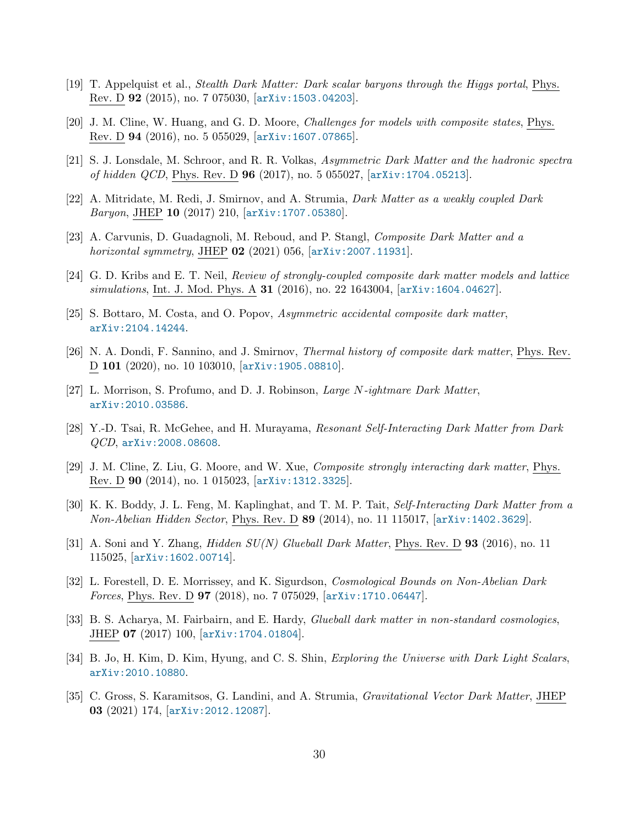- [19] T. Appelquist et al., Stealth Dark Matter: Dark scalar baryons through the Higgs portal, Phys. Rev. D 92 (2015), no. 7 075030, [[arXiv:1503.04203](http://arxiv.org/abs/1503.04203)].
- [20] J. M. Cline, W. Huang, and G. D. Moore, Challenges for models with composite states, Phys. Rev. D 94 (2016), no. 5 055029, [[arXiv:1607.07865](http://arxiv.org/abs/1607.07865)].
- [21] S. J. Lonsdale, M. Schroor, and R. R. Volkas, Asymmetric Dark Matter and the hadronic spectra of hidden QCD, Phys. Rev. D 96 (2017), no. 5 055027, [[arXiv:1704.05213](http://arxiv.org/abs/1704.05213)].
- <span id="page-29-8"></span>[22] A. Mitridate, M. Redi, J. Smirnov, and A. Strumia, Dark Matter as a weakly coupled Dark Baryon, JHEP 10 (2017) 210, [[arXiv:1707.05380](http://arxiv.org/abs/1707.05380)].
- <span id="page-29-0"></span>[23] A. Carvunis, D. Guadagnoli, M. Reboud, and P. Stangl, Composite Dark Matter and a *horizontal symmetry*, JHEP  $02$  (2021) 056,  $[arXiv:2007.11931]$  $[arXiv:2007.11931]$  $[arXiv:2007.11931]$ .
- <span id="page-29-1"></span>[24] G. D. Kribs and E. T. Neil, Review of strongly-coupled composite dark matter models and lattice simulations, Int. J. Mod. Phys. A 31 (2016), no. 22 1643004, [[arXiv:1604.04627](http://arxiv.org/abs/1604.04627)].
- <span id="page-29-2"></span>[25] S. Bottaro, M. Costa, and O. Popov, Asymmetric accidental composite dark matter, [arXiv:2104.14244](http://arxiv.org/abs/2104.14244).
- <span id="page-29-3"></span>[26] N. A. Dondi, F. Sannino, and J. Smirnov, Thermal history of composite dark matter, Phys. Rev. D 101 (2020), no. 10 103010, [[arXiv:1905.08810](http://arxiv.org/abs/1905.08810)].
- [27] L. Morrison, S. Profumo, and D. J. Robinson, Large N-ightmare Dark Matter, [arXiv:2010.03586](http://arxiv.org/abs/2010.03586).
- <span id="page-29-4"></span>[28] Y.-D. Tsai, R. McGehee, and H. Murayama, Resonant Self-Interacting Dark Matter from Dark QCD, [arXiv:2008.08608](http://arxiv.org/abs/2008.08608).
- <span id="page-29-5"></span>[29] J. M. Cline, Z. Liu, G. Moore, and W. Xue, Composite strongly interacting dark matter, Phys. Rev. D 90 (2014), no. 1 015023, [[arXiv:1312.3325](http://arxiv.org/abs/1312.3325)].
- [30] K. K. Boddy, J. L. Feng, M. Kaplinghat, and T. M. P. Tait, Self-Interacting Dark Matter from a Non-Abelian Hidden Sector, Phys. Rev. D 89 (2014), no. 11 115017, [[arXiv:1402.3629](http://arxiv.org/abs/1402.3629)].
- [31] A. Soni and Y. Zhang, *Hidden*  $SU(N)$  *Glueball Dark Matter*, Phys. Rev. D **93** (2016), no. 11 115025, [[arXiv:1602.00714](http://arxiv.org/abs/1602.00714)].
- [32] L. Forestell, D. E. Morrissey, and K. Sigurdson, Cosmological Bounds on Non-Abelian Dark Forces, Phys. Rev. D 97 (2018), no. 7 075029, [[arXiv:1710.06447](http://arxiv.org/abs/1710.06447)].
- [33] B. S. Acharya, M. Fairbairn, and E. Hardy, *Glueball dark matter in non-standard cosmologies*, JHEP 07 (2017) 100, [[arXiv:1704.01804](http://arxiv.org/abs/1704.01804)].
- <span id="page-29-6"></span>[34] B. Jo, H. Kim, D. Kim, Hyung, and C. S. Shin, Exploring the Universe with Dark Light Scalars, [arXiv:2010.10880](http://arxiv.org/abs/2010.10880).
- <span id="page-29-7"></span>[35] C. Gross, S. Karamitsos, G. Landini, and A. Strumia, Gravitational Vector Dark Matter, JHEP 03 (2021) 174, [[arXiv:2012.12087](http://arxiv.org/abs/2012.12087)].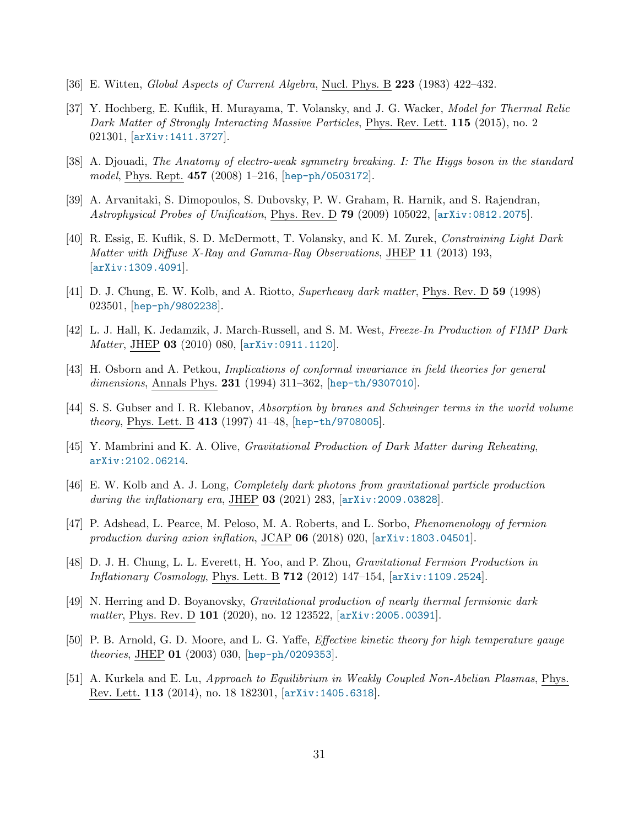- <span id="page-30-0"></span>[36] E. Witten, Global Aspects of Current Algebra, Nucl. Phys. B 223 (1983) 422–432.
- <span id="page-30-1"></span>[37] Y. Hochberg, E. Kuflik, H. Murayama, T. Volansky, and J. G. Wacker, Model for Thermal Relic Dark Matter of Strongly Interacting Massive Particles, Phys. Rev. Lett. 115 (2015), no. 2 021301, [[arXiv:1411.3727](http://arxiv.org/abs/1411.3727)].
- <span id="page-30-2"></span>[38] A. Djouadi, The Anatomy of electro-weak symmetry breaking. I: The Higgs boson in the standard model, Phys. Rept. 457 (2008) 1–216, [[hep-ph/0503172](http://arxiv.org/abs/hep-ph/0503172)].
- <span id="page-30-3"></span>[39] A. Arvanitaki, S. Dimopoulos, S. Dubovsky, P. W. Graham, R. Harnik, and S. Rajendran, Astrophysical Probes of Unification, Phys. Rev. D 79 (2009) 105022, [[arXiv:0812.2075](http://arxiv.org/abs/0812.2075)].
- <span id="page-30-4"></span>[40] R. Essig, E. Kuflik, S. D. McDermott, T. Volansky, and K. M. Zurek, Constraining Light Dark Matter with Diffuse X-Ray and Gamma-Ray Observations, JHEP 11 (2013) 193, [[arXiv:1309.4091](http://arxiv.org/abs/1309.4091)].
- <span id="page-30-5"></span>[41] D. J. Chung, E. W. Kolb, and A. Riotto, Superheavy dark matter, Phys. Rev. D 59 (1998) 023501, [[hep-ph/9802238](http://arxiv.org/abs/hep-ph/9802238)].
- <span id="page-30-6"></span>[42] L. J. Hall, K. Jedamzik, J. March-Russell, and S. M. West, Freeze-In Production of FIMP Dark Matter, JHEP 03 (2010) 080, [[arXiv:0911.1120](http://arxiv.org/abs/0911.1120)].
- <span id="page-30-8"></span>[43] H. Osborn and A. Petkou, Implications of conformal invariance in field theories for general dimensions, Annals Phys. 231 (1994) 311–362, [[hep-th/9307010](http://arxiv.org/abs/hep-th/9307010)].
- <span id="page-30-7"></span>[44] S. S. Gubser and I. R. Klebanov, Absorption by branes and Schwinger terms in the world volume theory, Phys. Lett. B 413 (1997) 41–48, [[hep-th/9708005](http://arxiv.org/abs/hep-th/9708005)].
- <span id="page-30-9"></span>[45] Y. Mambrini and K. A. Olive, Gravitational Production of Dark Matter during Reheating, [arXiv:2102.06214](http://arxiv.org/abs/2102.06214).
- <span id="page-30-10"></span>[46] E. W. Kolb and A. J. Long, Completely dark photons from gravitational particle production during the inflationary era, JHEP 03 (2021) 283, [[arXiv:2009.03828](http://arxiv.org/abs/2009.03828)].
- <span id="page-30-11"></span>[47] P. Adshead, L. Pearce, M. Peloso, M. A. Roberts, and L. Sorbo, Phenomenology of fermion production during axion inflation, JCAP  $06$  (2018) 020,  $[array:1803.04501]$ .
- <span id="page-30-12"></span>[48] D. J. H. Chung, L. L. Everett, H. Yoo, and P. Zhou, Gravitational Fermion Production in Inflationary Cosmology, Phys. Lett. B 712 (2012) 147–154, [[arXiv:1109.2524](http://arxiv.org/abs/1109.2524)].
- <span id="page-30-13"></span>[49] N. Herring and D. Boyanovsky, Gravitational production of nearly thermal fermionic dark matter, Phys. Rev. D 101 (2020), no. 12 123522, [arXiv: 2005.00391].
- <span id="page-30-14"></span>[50] P. B. Arnold, G. D. Moore, and L. G. Yaffe, Effective kinetic theory for high temperature gauge theories, JHEP 01 (2003) 030, [[hep-ph/0209353](http://arxiv.org/abs/hep-ph/0209353)].
- <span id="page-30-15"></span>[51] A. Kurkela and E. Lu, Approach to Equilibrium in Weakly Coupled Non-Abelian Plasmas, Phys. Rev. Lett. 113 (2014), no. 18 182301, [[arXiv:1405.6318](http://arxiv.org/abs/1405.6318)].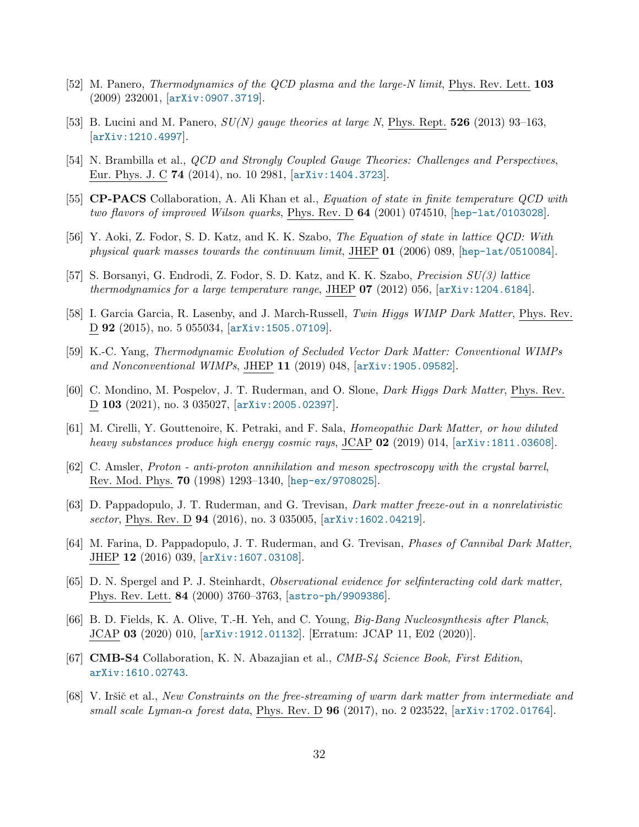- <span id="page-31-0"></span>[52] M. Panero, *Thermodynamics of the QCD plasma and the large-N limit*, Phys. Rev. Lett. **103** (2009) 232001, [[arXiv:0907.3719](http://arxiv.org/abs/0907.3719)].
- <span id="page-31-1"></span>[53] B. Lucini and M. Panero,  $SU(N)$  gauge theories at large N, Phys. Rept. **526** (2013) 93–163, [[arXiv:1210.4997](http://arxiv.org/abs/1210.4997)].
- <span id="page-31-2"></span>[54] N. Brambilla et al., *QCD and Strongly Coupled Gauge Theories: Challenges and Perspectives*, Eur. Phys. J. C 74 (2014), no. 10 2981, [[arXiv:1404.3723](http://arxiv.org/abs/1404.3723)].
- <span id="page-31-3"></span>[55] CP-PACS Collaboration, A. Ali Khan et al., Equation of state in finite temperature QCD with two flavors of improved Wilson quarks, Phys. Rev. D 64 (2001) 074510, [[hep-lat/0103028](http://arxiv.org/abs/hep-lat/0103028)].
- <span id="page-31-4"></span>[56] Y. Aoki, Z. Fodor, S. D. Katz, and K. K. Szabo, The Equation of state in lattice QCD: With physical quark masses towards the continuum limit, JHEP 01 (2006) 089, [[hep-lat/0510084](http://arxiv.org/abs/hep-lat/0510084)].
- <span id="page-31-5"></span>[57] S. Borsanyi, G. Endrodi, Z. Fodor, S. D. Katz, and K. K. Szabo, Precision SU(3) lattice thermodynamics for a large temperature range, JHEP  $07$  (2012) 056, [[arXiv:1204.6184](http://arxiv.org/abs/1204.6184)].
- <span id="page-31-6"></span>[58] I. Garcia Garcia, R. Lasenby, and J. March-Russell, Twin Higgs WIMP Dark Matter, Phys. Rev. D 92 (2015), no. 5 055034, [[arXiv:1505.07109](http://arxiv.org/abs/1505.07109)].
- <span id="page-31-7"></span>[59] K.-C. Yang, Thermodynamic Evolution of Secluded Vector Dark Matter: Conventional WIMPs and Nonconventional WIMPs, JHEP 11 (2019) 048, [[arXiv:1905.09582](http://arxiv.org/abs/1905.09582)].
- <span id="page-31-8"></span>[60] C. Mondino, M. Pospelov, J. T. Ruderman, and O. Slone, *Dark Higgs Dark Matter*, Phys. Rev. D 103 (2021), no. 3 035027, [[arXiv:2005.02397](http://arxiv.org/abs/2005.02397)].
- <span id="page-31-9"></span>[61] M. Cirelli, Y. Gouttenoire, K. Petraki, and F. Sala, Homeopathic Dark Matter, or how diluted heavy substances produce high energy cosmic rays, JCAP 02 (2019) 014, [[arXiv:1811.03608](http://arxiv.org/abs/1811.03608)].
- <span id="page-31-10"></span>[62] C. Amsler, Proton - anti-proton annihilation and meson spectroscopy with the crystal barrel, Rev. Mod. Phys. 70 (1998) 1293–1340, [[hep-ex/9708025](http://arxiv.org/abs/hep-ex/9708025)].
- <span id="page-31-11"></span>[63] D. Pappadopulo, J. T. Ruderman, and G. Trevisan, Dark matter freeze-out in a nonrelativistic sector, Phys. Rev. D **94** (2016), no. 3 035005,  $\ar{xiv:1602.04219}$ .
- <span id="page-31-12"></span>[64] M. Farina, D. Pappadopulo, J. T. Ruderman, and G. Trevisan, Phases of Cannibal Dark Matter, JHEP 12 (2016) 039, [[arXiv:1607.03108](http://arxiv.org/abs/1607.03108)].
- <span id="page-31-13"></span>[65] D. N. Spergel and P. J. Steinhardt, Observational evidence for selfinteracting cold dark matter, Phys. Rev. Lett. 84 (2000) 3760–3763, [[astro-ph/9909386](http://arxiv.org/abs/astro-ph/9909386)].
- <span id="page-31-14"></span>[66] B. D. Fields, K. A. Olive, T.-H. Yeh, and C. Young, Big-Bang Nucleosynthesis after Planck, JCAP 03 (2020) 010, [[arXiv:1912.01132](http://arxiv.org/abs/1912.01132)]. [Erratum: JCAP 11, E02 (2020)].
- <span id="page-31-15"></span>[67] CMB-S4 Collaboration, K. N. Abazajian et al., CMB-S4 Science Book, First Edition, [arXiv:1610.02743](http://arxiv.org/abs/1610.02743).
- <span id="page-31-16"></span>[68] V. Iršič et al., New Constraints on the free-streaming of warm dark matter from intermediate and small scale Lyman- $\alpha$  forest data, Phys. Rev. D **96** (2017), no. 2 023522, [[arXiv:1702.01764](http://arxiv.org/abs/1702.01764)].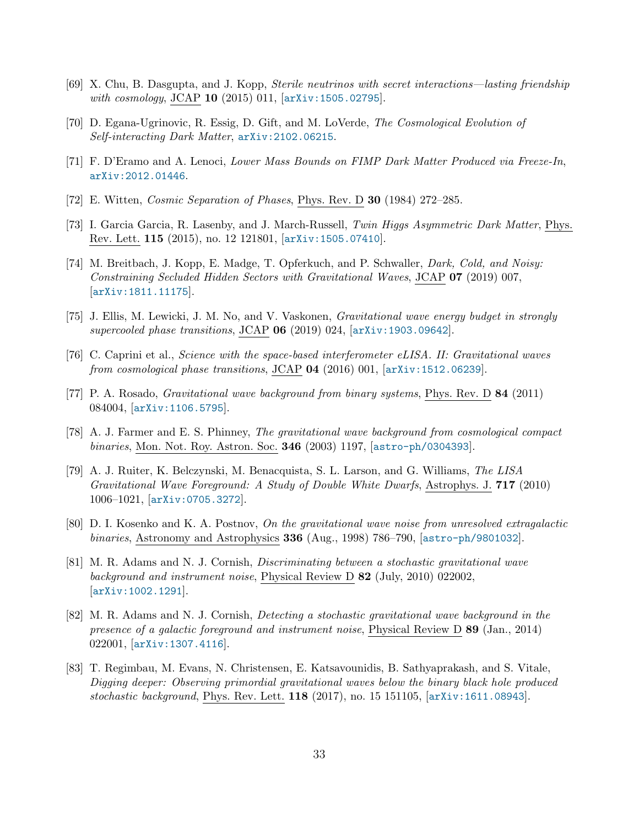- <span id="page-32-0"></span>[69] X. Chu, B. Dasgupta, and J. Kopp, Sterile neutrinos with secret interactions—lasting friendship with cosmology, JCAP 10 (2015) 011, [[arXiv:1505.02795](http://arxiv.org/abs/1505.02795)].
- <span id="page-32-1"></span>[70] D. Egana-Ugrinovic, R. Essig, D. Gift, and M. LoVerde, The Cosmological Evolution of Self-interacting Dark Matter, [arXiv:2102.06215](http://arxiv.org/abs/2102.06215).
- <span id="page-32-2"></span>[71] F. D'Eramo and A. Lenoci, Lower Mass Bounds on FIMP Dark Matter Produced via Freeze-In, [arXiv:2012.01446](http://arxiv.org/abs/2012.01446).
- <span id="page-32-3"></span>[72] E. Witten, Cosmic Separation of Phases, Phys. Rev. D 30 (1984) 272–285.
- <span id="page-32-4"></span>[73] I. Garcia Garcia, R. Lasenby, and J. March-Russell, Twin Higgs Asymmetric Dark Matter, Phys. Rev. Lett. 115 (2015), no. 12 121801, [[arXiv:1505.07410](http://arxiv.org/abs/1505.07410)].
- <span id="page-32-5"></span>[74] M. Breitbach, J. Kopp, E. Madge, T. Opferkuch, and P. Schwaller, *Dark, Cold, and Noisy:* Constraining Secluded Hidden Sectors with Gravitational Waves, JCAP 07 (2019) 007, [[arXiv:1811.11175](http://arxiv.org/abs/1811.11175)].
- <span id="page-32-6"></span>[75] J. Ellis, M. Lewicki, J. M. No, and V. Vaskonen, Gravitational wave energy budget in strongly supercooled phase transitions, JCAP  $06$  (2019) 024, [[arXiv:1903.09642](http://arxiv.org/abs/1903.09642)].
- <span id="page-32-7"></span>[76] C. Caprini et al., Science with the space-based interferometer eLISA. II: Gravitational waves from cosmological phase transitions, JCAP  $04$  (2016) 001,  $[\text{arXiv}:1512.06239]$ .
- <span id="page-32-8"></span>[77] P. A. Rosado, Gravitational wave background from binary systems, Phys. Rev. D 84 (2011) 084004, [[arXiv:1106.5795](http://arxiv.org/abs/1106.5795)].
- <span id="page-32-9"></span>[78] A. J. Farmer and E. S. Phinney, The gravitational wave background from cosmological compact binaries, Mon. Not. Roy. Astron. Soc. 346 (2003) 1197, [[astro-ph/0304393](http://arxiv.org/abs/astro-ph/0304393)].
- <span id="page-32-10"></span>[79] A. J. Ruiter, K. Belczynski, M. Benacquista, S. L. Larson, and G. Williams, The LISA Gravitational Wave Foreground: A Study of Double White Dwarfs, Astrophys. J. 717 (2010) 1006–1021, [[arXiv:0705.3272](http://arxiv.org/abs/0705.3272)].
- <span id="page-32-11"></span>[80] D. I. Kosenko and K. A. Postnov, On the gravitational wave noise from unresolved extragalactic binaries, Astronomy and Astrophysics 336 (Aug., 1998) 786–790, [[astro-ph/9801032](http://arxiv.org/abs/astro-ph/9801032)].
- [81] M. R. Adams and N. J. Cornish, Discriminating between a stochastic gravitational wave background and instrument noise, Physical Review D 82 (July, 2010) 022002, [[arXiv:1002.1291](http://arxiv.org/abs/1002.1291)].
- <span id="page-32-12"></span>[82] M. R. Adams and N. J. Cornish, Detecting a stochastic gravitational wave background in the presence of a galactic foreground and instrument noise, Physical Review D 89 (Jan., 2014) 022001, [[arXiv:1307.4116](http://arxiv.org/abs/1307.4116)].
- <span id="page-32-13"></span>[83] T. Regimbau, M. Evans, N. Christensen, E. Katsavounidis, B. Sathyaprakash, and S. Vitale, Digging deeper: Observing primordial gravitational waves below the binary black hole produced stochastic background, Phys. Rev. Lett. 118 (2017), no. 15 151105, [[arXiv:1611.08943](http://arxiv.org/abs/1611.08943)].